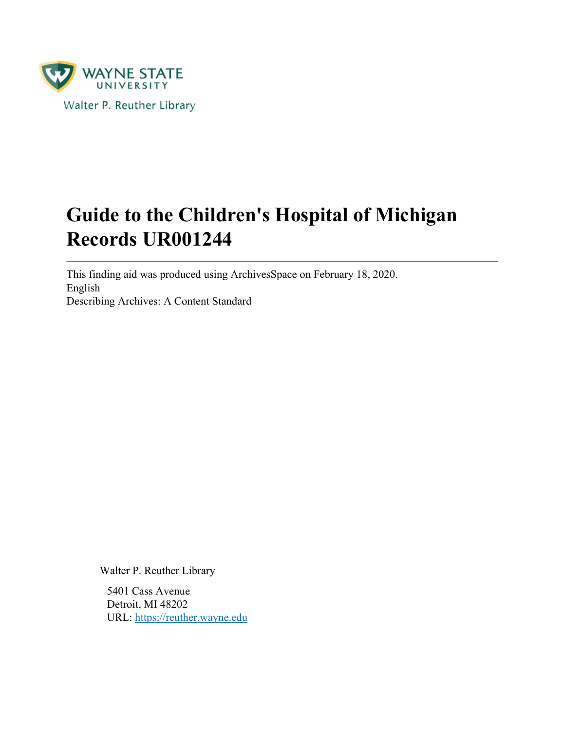

# **Guide to the Children's Hospital of Michigan Records UR001244**

This finding aid was produced using ArchivesSpace on February 18, 2020. English Describing Archives: A Content Standard

Walter P. Reuther Library

5401 Cass Avenue Detroit, MI 48202 URL:<https://reuther.wayne.edu>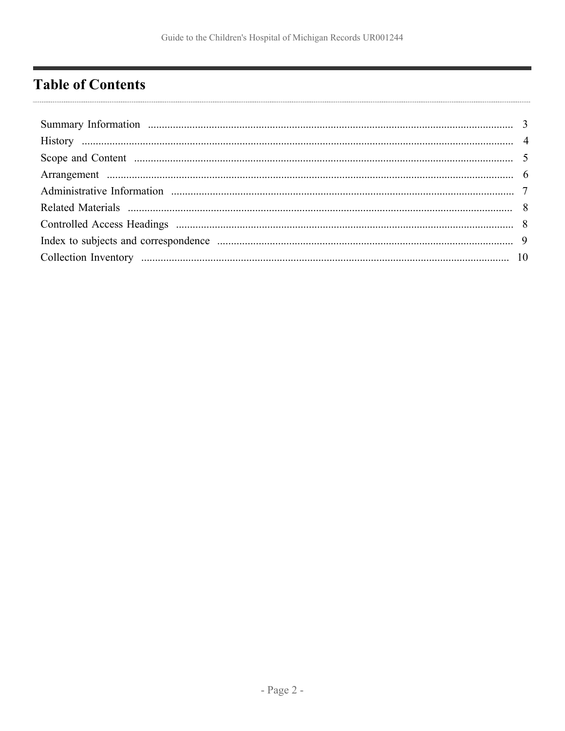## <span id="page-1-0"></span>**Table of Contents**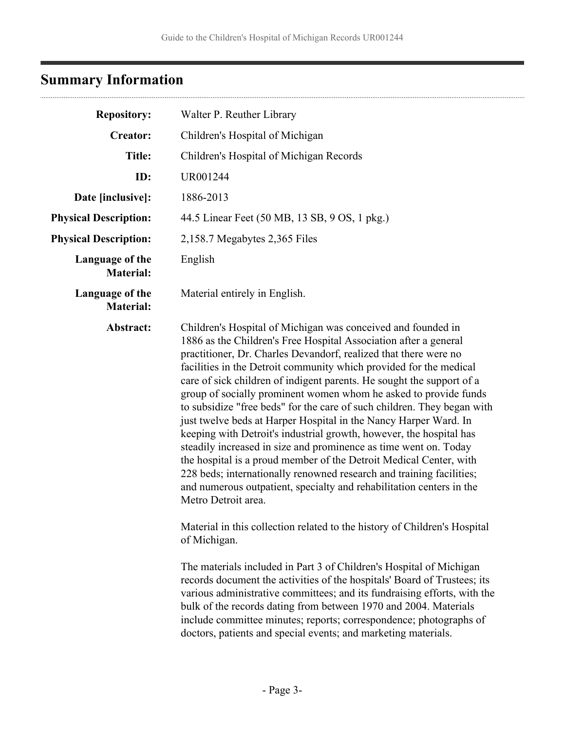# <span id="page-2-0"></span>**Summary Information**

| <b>Repository:</b>                                 | Walter P. Reuther Library                                                                                                                                                                                                                                                                                                                                                                                                                                                                                                                                                                                                                                                                                                                                                                                                                                                                                                                                      |
|----------------------------------------------------|----------------------------------------------------------------------------------------------------------------------------------------------------------------------------------------------------------------------------------------------------------------------------------------------------------------------------------------------------------------------------------------------------------------------------------------------------------------------------------------------------------------------------------------------------------------------------------------------------------------------------------------------------------------------------------------------------------------------------------------------------------------------------------------------------------------------------------------------------------------------------------------------------------------------------------------------------------------|
| <b>Creator:</b><br>Children's Hospital of Michigan |                                                                                                                                                                                                                                                                                                                                                                                                                                                                                                                                                                                                                                                                                                                                                                                                                                                                                                                                                                |
| <b>Title:</b>                                      | Children's Hospital of Michigan Records                                                                                                                                                                                                                                                                                                                                                                                                                                                                                                                                                                                                                                                                                                                                                                                                                                                                                                                        |
| ID:                                                | UR001244                                                                                                                                                                                                                                                                                                                                                                                                                                                                                                                                                                                                                                                                                                                                                                                                                                                                                                                                                       |
| Date [inclusive]:                                  | 1886-2013                                                                                                                                                                                                                                                                                                                                                                                                                                                                                                                                                                                                                                                                                                                                                                                                                                                                                                                                                      |
| <b>Physical Description:</b>                       | 44.5 Linear Feet (50 MB, 13 SB, 9 OS, 1 pkg.)                                                                                                                                                                                                                                                                                                                                                                                                                                                                                                                                                                                                                                                                                                                                                                                                                                                                                                                  |
| <b>Physical Description:</b>                       | 2,158.7 Megabytes 2,365 Files                                                                                                                                                                                                                                                                                                                                                                                                                                                                                                                                                                                                                                                                                                                                                                                                                                                                                                                                  |
| Language of the<br><b>Material:</b>                | English                                                                                                                                                                                                                                                                                                                                                                                                                                                                                                                                                                                                                                                                                                                                                                                                                                                                                                                                                        |
| Language of the<br><b>Material:</b>                | Material entirely in English.                                                                                                                                                                                                                                                                                                                                                                                                                                                                                                                                                                                                                                                                                                                                                                                                                                                                                                                                  |
| Abstract:                                          | Children's Hospital of Michigan was conceived and founded in<br>1886 as the Children's Free Hospital Association after a general<br>practitioner, Dr. Charles Devandorf, realized that there were no<br>facilities in the Detroit community which provided for the medical<br>care of sick children of indigent parents. He sought the support of a<br>group of socially prominent women whom he asked to provide funds<br>to subsidize "free beds" for the care of such children. They began with<br>just twelve beds at Harper Hospital in the Nancy Harper Ward. In<br>keeping with Detroit's industrial growth, however, the hospital has<br>steadily increased in size and prominence as time went on. Today<br>the hospital is a proud member of the Detroit Medical Center, with<br>228 beds; internationally renowned research and training facilities;<br>and numerous outpatient, specialty and rehabilitation centers in the<br>Metro Detroit area. |
|                                                    | Material in this collection related to the history of Children's Hospital<br>of Michigan.<br>The materials included in Part 3 of Children's Hospital of Michigan<br>records document the activities of the hospitals' Board of Trustees; its<br>various administrative committees; and its fundraising efforts, with the<br>bulk of the records dating from between 1970 and 2004. Materials<br>include committee minutes; reports; correspondence; photographs of<br>doctors, patients and special events; and marketing materials.                                                                                                                                                                                                                                                                                                                                                                                                                           |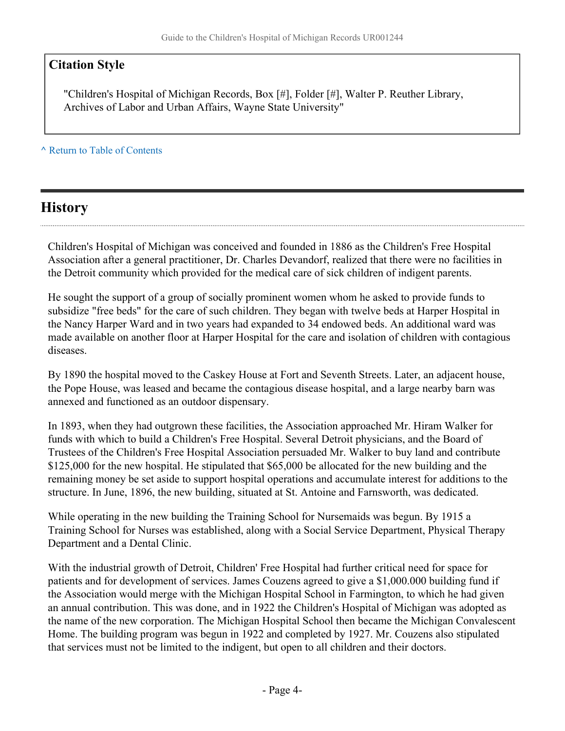## **Citation Style**

"Children's Hospital of Michigan Records, Box [#], Folder [#], Walter P. Reuther Library, Archives of Labor and Urban Affairs, Wayne State University"

**^** [Return to Table of Contents](#page-1-0)

## <span id="page-3-0"></span>**History**

Children's Hospital of Michigan was conceived and founded in 1886 as the Children's Free Hospital Association after a general practitioner, Dr. Charles Devandorf, realized that there were no facilities in the Detroit community which provided for the medical care of sick children of indigent parents.

He sought the support of a group of socially prominent women whom he asked to provide funds to subsidize "free beds" for the care of such children. They began with twelve beds at Harper Hospital in the Nancy Harper Ward and in two years had expanded to 34 endowed beds. An additional ward was made available on another floor at Harper Hospital for the care and isolation of children with contagious diseases.

By 1890 the hospital moved to the Caskey House at Fort and Seventh Streets. Later, an adjacent house, the Pope House, was leased and became the contagious disease hospital, and a large nearby barn was annexed and functioned as an outdoor dispensary.

In 1893, when they had outgrown these facilities, the Association approached Mr. Hiram Walker for funds with which to build a Children's Free Hospital. Several Detroit physicians, and the Board of Trustees of the Children's Free Hospital Association persuaded Mr. Walker to buy land and contribute \$125,000 for the new hospital. He stipulated that \$65,000 be allocated for the new building and the remaining money be set aside to support hospital operations and accumulate interest for additions to the structure. In June, 1896, the new building, situated at St. Antoine and Farnsworth, was dedicated.

While operating in the new building the Training School for Nursemaids was begun. By 1915 a Training School for Nurses was established, along with a Social Service Department, Physical Therapy Department and a Dental Clinic.

With the industrial growth of Detroit, Children' Free Hospital had further critical need for space for patients and for development of services. James Couzens agreed to give a \$1,000.000 building fund if the Association would merge with the Michigan Hospital School in Farmington, to which he had given an annual contribution. This was done, and in 1922 the Children's Hospital of Michigan was adopted as the name of the new corporation. The Michigan Hospital School then became the Michigan Convalescent Home. The building program was begun in 1922 and completed by 1927. Mr. Couzens also stipulated that services must not be limited to the indigent, but open to all children and their doctors.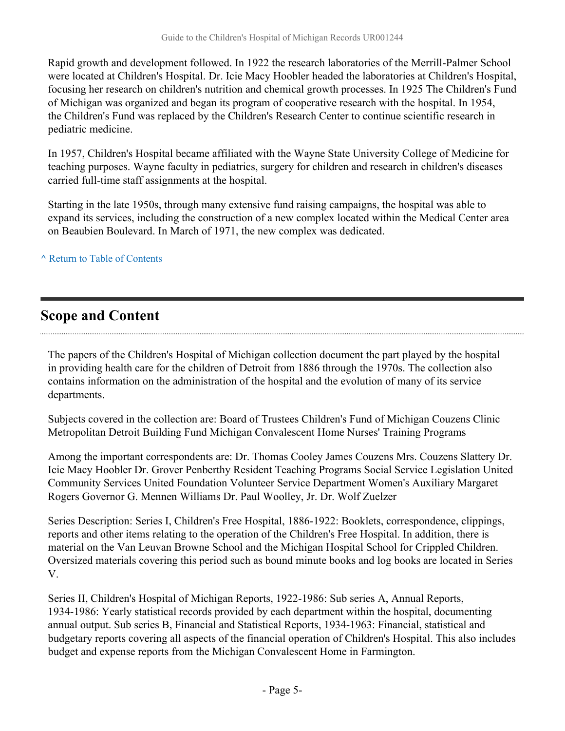Rapid growth and development followed. In 1922 the research laboratories of the Merrill-Palmer School were located at Children's Hospital. Dr. Icie Macy Hoobler headed the laboratories at Children's Hospital, focusing her research on children's nutrition and chemical growth processes. In 1925 The Children's Fund of Michigan was organized and began its program of cooperative research with the hospital. In 1954, the Children's Fund was replaced by the Children's Research Center to continue scientific research in pediatric medicine.

In 1957, Children's Hospital became affiliated with the Wayne State University College of Medicine for teaching purposes. Wayne faculty in pediatrics, surgery for children and research in children's diseases carried full-time staff assignments at the hospital.

Starting in the late 1950s, through many extensive fund raising campaigns, the hospital was able to expand its services, including the construction of a new complex located within the Medical Center area on Beaubien Boulevard. In March of 1971, the new complex was dedicated.

**^** [Return to Table of Contents](#page-1-0)

## <span id="page-4-0"></span>**Scope and Content**

The papers of the Children's Hospital of Michigan collection document the part played by the hospital in providing health care for the children of Detroit from 1886 through the 1970s. The collection also contains information on the administration of the hospital and the evolution of many of its service departments.

Subjects covered in the collection are: Board of Trustees Children's Fund of Michigan Couzens Clinic Metropolitan Detroit Building Fund Michigan Convalescent Home Nurses' Training Programs

Among the important correspondents are: Dr. Thomas Cooley James Couzens Mrs. Couzens Slattery Dr. Icie Macy Hoobler Dr. Grover Penberthy Resident Teaching Programs Social Service Legislation United Community Services United Foundation Volunteer Service Department Women's Auxiliary Margaret Rogers Governor G. Mennen Williams Dr. Paul Woolley, Jr. Dr. Wolf Zuelzer

Series Description: Series I, Children's Free Hospital, 1886-1922: Booklets, correspondence, clippings, reports and other items relating to the operation of the Children's Free Hospital. In addition, there is material on the Van Leuvan Browne School and the Michigan Hospital School for Crippled Children. Oversized materials covering this period such as bound minute books and log books are located in Series V.

Series II, Children's Hospital of Michigan Reports, 1922-1986: Sub series A, Annual Reports, 1934-1986: Yearly statistical records provided by each department within the hospital, documenting annual output. Sub series B, Financial and Statistical Reports, 1934-1963: Financial, statistical and budgetary reports covering all aspects of the financial operation of Children's Hospital. This also includes budget and expense reports from the Michigan Convalescent Home in Farmington.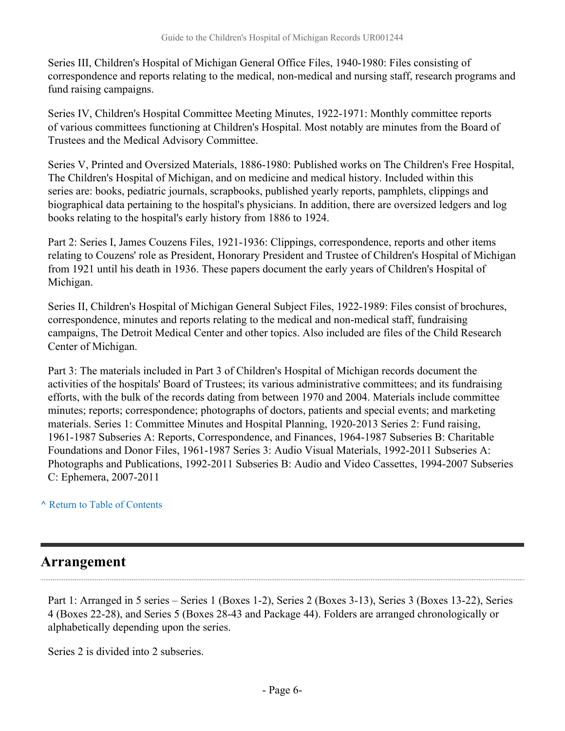Series III, Children's Hospital of Michigan General Office Files, 1940-1980: Files consisting of correspondence and reports relating to the medical, non-medical and nursing staff, research programs and fund raising campaigns.

Series IV, Children's Hospital Committee Meeting Minutes, 1922-1971: Monthly committee reports of various committees functioning at Children's Hospital. Most notably are minutes from the Board of Trustees and the Medical Advisory Committee.

Series V, Printed and Oversized Materials, 1886-1980: Published works on The Children's Free Hospital, The Children's Hospital of Michigan, and on medicine and medical history. Included within this series are: books, pediatric journals, scrapbooks, published yearly reports, pamphlets, clippings and biographical data pertaining to the hospital's physicians. In addition, there are oversized ledgers and log books relating to the hospital's early history from 1886 to 1924.

Part 2: Series I, James Couzens Files, 1921-1936: Clippings, correspondence, reports and other items relating to Couzens' role as President, Honorary President and Trustee of Children's Hospital of Michigan from 1921 until his death in 1936. These papers document the early years of Children's Hospital of Michigan.

Series II, Children's Hospital of Michigan General Subject Files, 1922-1989: Files consist of brochures, correspondence, minutes and reports relating to the medical and non-medical staff, fundraising campaigns, The Detroit Medical Center and other topics. Also included are files of the Child Research Center of Michigan.

Part 3: The materials included in Part 3 of Children's Hospital of Michigan records document the activities of the hospitals' Board of Trustees; its various administrative committees; and its fundraising efforts, with the bulk of the records dating from between 1970 and 2004. Materials include committee minutes; reports; correspondence; photographs of doctors, patients and special events; and marketing materials. Series 1: Committee Minutes and Hospital Planning, 1920-2013 Series 2: Fund raising, 1961-1987 Subseries A: Reports, Correspondence, and Finances, 1964-1987 Subseries B: Charitable Foundations and Donor Files, 1961-1987 Series 3: Audio Visual Materials, 1992-2011 Subseries A: Photographs and Publications, 1992-2011 Subseries B: Audio and Video Cassettes, 1994-2007 Subseries C: Ephemera, 2007-2011

### **^** [Return to Table of Contents](#page-1-0)

## <span id="page-5-0"></span>**Arrangement**

Part 1: Arranged in 5 series – Series 1 (Boxes 1-2), Series 2 (Boxes 3-13), Series 3 (Boxes 13-22), Series 4 (Boxes 22-28), and Series 5 (Boxes 28-43 and Package 44). Folders are arranged chronologically or alphabetically depending upon the series.

Series 2 is divided into 2 subseries.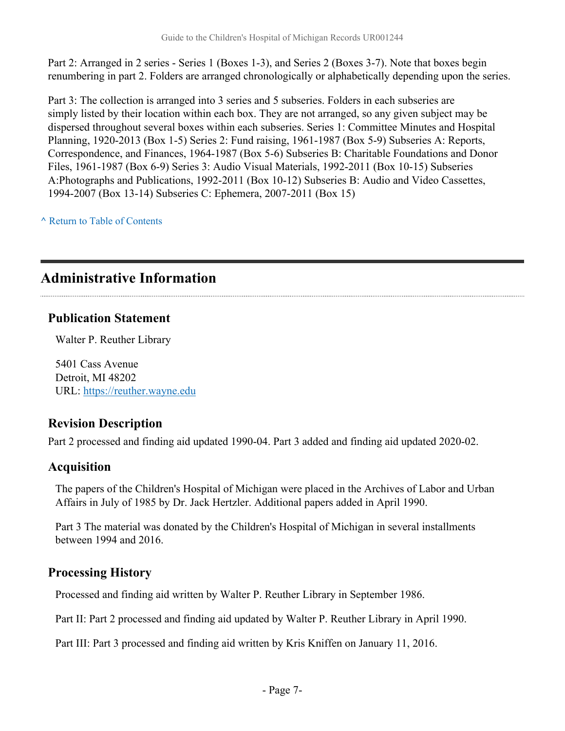Part 2: Arranged in 2 series - Series 1 (Boxes 1-3), and Series 2 (Boxes 3-7). Note that boxes begin renumbering in part 2. Folders are arranged chronologically or alphabetically depending upon the series.

Part 3: The collection is arranged into 3 series and 5 subseries. Folders in each subseries are simply listed by their location within each box. They are not arranged, so any given subject may be dispersed throughout several boxes within each subseries. Series 1: Committee Minutes and Hospital Planning, 1920-2013 (Box 1-5) Series 2: Fund raising, 1961-1987 (Box 5-9) Subseries A: Reports, Correspondence, and Finances, 1964-1987 (Box 5-6) Subseries B: Charitable Foundations and Donor Files, 1961-1987 (Box 6-9) Series 3: Audio Visual Materials, 1992-2011 (Box 10-15) Subseries A:Photographs and Publications, 1992-2011 (Box 10-12) Subseries B: Audio and Video Cassettes, 1994-2007 (Box 13-14) Subseries C: Ephemera, 2007-2011 (Box 15)

**^** [Return to Table of Contents](#page-1-0)

## <span id="page-6-0"></span>**Administrative Information**

## **Publication Statement**

Walter P. Reuther Library

5401 Cass Avenue Detroit, MI 48202 URL:<https://reuther.wayne.edu>

## **Revision Description**

Part 2 processed and finding aid updated 1990-04. Part 3 added and finding aid updated 2020-02.

## **Acquisition**

The papers of the Children's Hospital of Michigan were placed in the Archives of Labor and Urban Affairs in July of 1985 by Dr. Jack Hertzler. Additional papers added in April 1990.

Part 3 The material was donated by the Children's Hospital of Michigan in several installments between 1994 and 2016.

## **Processing History**

Processed and finding aid written by Walter P. Reuther Library in September 1986.

Part II: Part 2 processed and finding aid updated by Walter P. Reuther Library in April 1990.

Part III: Part 3 processed and finding aid written by Kris Kniffen on January 11, 2016.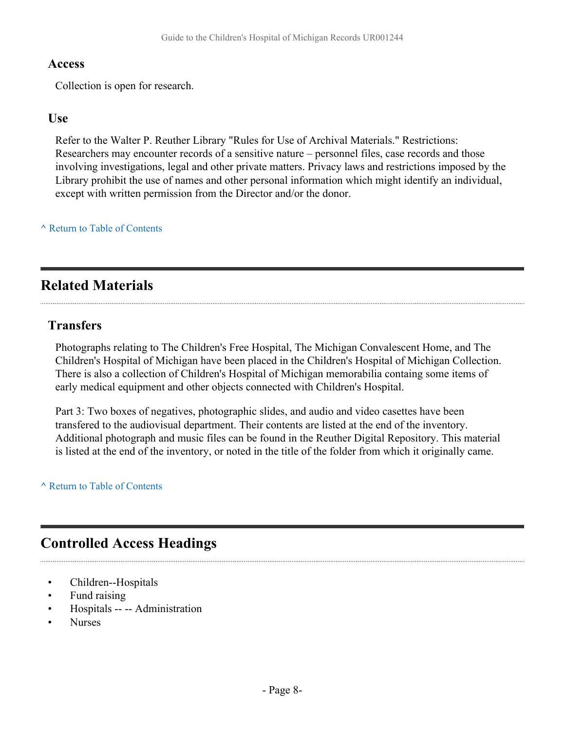### **Access**

Collection is open for research.

### **Use**

Refer to the Walter P. Reuther Library "Rules for Use of Archival Materials." Restrictions: Researchers may encounter records of a sensitive nature – personnel files, case records and those involving investigations, legal and other private matters. Privacy laws and restrictions imposed by the Library prohibit the use of names and other personal information which might identify an individual, except with written permission from the Director and/or the donor.

### **^** [Return to Table of Contents](#page-1-0)

## <span id="page-7-0"></span>**Related Materials**

### **Transfers**

Photographs relating to The Children's Free Hospital, The Michigan Convalescent Home, and The Children's Hospital of Michigan have been placed in the Children's Hospital of Michigan Collection. There is also a collection of Children's Hospital of Michigan memorabilia containg some items of early medical equipment and other objects connected with Children's Hospital.

Part 3: Two boxes of negatives, photographic slides, and audio and video casettes have been transfered to the audiovisual department. Their contents are listed at the end of the inventory. Additional photograph and music files can be found in the Reuther Digital Repository. This material is listed at the end of the inventory, or noted in the title of the folder from which it originally came.

**^** [Return to Table of Contents](#page-1-0)

## <span id="page-7-1"></span>**Controlled Access Headings**

- Children--Hospitals
- Fund raising
- Hospitals -- -- Administration
- Nurses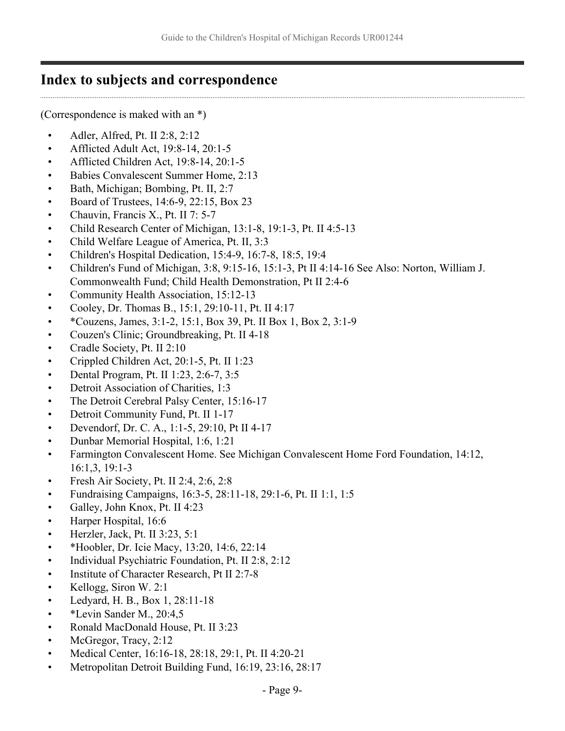## <span id="page-8-0"></span>**Index to subjects and correspondence**

(Correspondence is maked with an \*)

- Adler, Alfred, Pt. II 2:8, 2:12
- Afflicted Adult Act, 19:8-14, 20:1-5
- Afflicted Children Act, 19:8-14, 20:1-5
- Babies Convalescent Summer Home, 2:13
- Bath, Michigan; Bombing, Pt. II, 2:7
- Board of Trustees,  $14:6-9$ ,  $22:15$ , Box 23
- Chauvin, Francis X., Pt. II 7: 5-7
- Child Research Center of Michigan, 13:1-8, 19:1-3, Pt. II 4:5-13
- Child Welfare League of America, Pt. II, 3:3
- Children's Hospital Dedication, 15:4-9, 16:7-8, 18:5, 19:4
- Children's Fund of Michigan, 3:8, 9:15-16, 15:1-3, Pt II 4:14-16 See Also: Norton, William J. Commonwealth Fund; Child Health Demonstration, Pt II 2:4-6
- Community Health Association, 15:12-13
- Cooley, Dr. Thomas B., 15:1, 29:10-11, Pt. II 4:17
- \*Couzens, James, 3:1-2, 15:1, Box 39, Pt. II Box 1, Box 2, 3:1-9
- Couzen's Clinic; Groundbreaking, Pt. II 4-18
- Cradle Society, Pt. II 2:10
- Crippled Children Act, 20:1-5, Pt. II 1:23
- Dental Program, Pt. II  $1:23, 2:6-7, 3:5$
- Detroit Association of Charities, 1:3
- The Detroit Cerebral Palsy Center, 15:16-17
- Detroit Community Fund, Pt. II 1-17
- Devendorf, Dr. C. A., 1:1-5, 29:10, Pt II 4-17
- Dunbar Memorial Hospital, 1:6, 1:21
- Farmington Convalescent Home. See Michigan Convalescent Home Ford Foundation, 14:12, 16:1,3, 19:1-3
- Fresh Air Society, Pt. II 2:4, 2:6, 2:8
- Fundraising Campaigns, 16:3-5, 28:11-18, 29:1-6, Pt. II 1:1, 1:5
- Galley, John Knox, Pt. II 4:23
- Harper Hospital, 16:6
- Herzler, Jack, Pt. II 3:23, 5:1
- \*Hoobler, Dr. Icie Macy, 13:20, 14:6, 22:14
- Individual Psychiatric Foundation, Pt. II 2:8, 2:12
- Institute of Character Research, Pt II 2:7-8
- Kellogg, Siron W. 2:1
- Ledyard, H. B., Box 1, 28:11-18
- \*Levin Sander M., 20:4,5
- Ronald MacDonald House, Pt. II 3:23
- McGregor, Tracy, 2:12
- Medical Center, 16:16-18, 28:18, 29:1, Pt. II 4:20-21
- Metropolitan Detroit Building Fund, 16:19, 23:16, 28:17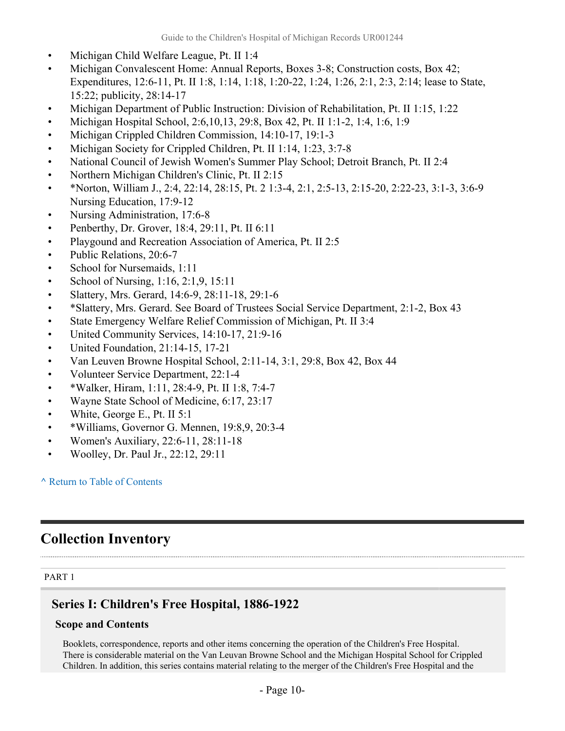- Michigan Child Welfare League, Pt. II 1:4
- Michigan Convalescent Home: Annual Reports, Boxes 3-8; Construction costs, Box 42; Expenditures, 12:6-11, Pt. II 1:8, 1:14, 1:18, 1:20-22, 1:24, 1:26, 2:1, 2:3, 2:14; lease to State, 15:22; publicity, 28:14-17
- Michigan Department of Public Instruction: Division of Rehabilitation, Pt. II 1:15, 1:22
- Michigan Hospital School, 2:6,10,13, 29:8, Box 42, Pt. II 1:1-2, 1:4, 1:6, 1:9
- Michigan Crippled Children Commission, 14:10-17, 19:1-3
- Michigan Society for Crippled Children, Pt. II 1:14, 1:23, 3:7-8
- National Council of Jewish Women's Summer Play School; Detroit Branch, Pt. II 2:4
- Northern Michigan Children's Clinic, Pt. II 2:15
- \*Norton, William J., 2:4, 22:14, 28:15, Pt. 2 1:3-4, 2:1, 2:5-13, 2:15-20, 2:22-23, 3:1-3, 3:6-9 Nursing Education, 17:9-12
- Nursing Administration, 17:6-8
- Penberthy, Dr. Grover, 18:4, 29:11, Pt. II 6:11
- Playgound and Recreation Association of America, Pt. II 2:5
- Public Relations, 20:6-7
- School for Nursemaids, 1:11
- School of Nursing, 1:16, 2:1,9, 15:11
- Slattery, Mrs. Gerard, 14:6-9, 28:11-18, 29:1-6
- \*Slattery, Mrs. Gerard. See Board of Trustees Social Service Department, 2:1-2, Box 43
- State Emergency Welfare Relief Commission of Michigan, Pt. II 3:4
- United Community Services, 14:10-17, 21:9-16
- United Foundation, 21:14-15, 17-21
- Van Leuven Browne Hospital School, 2:11-14, 3:1, 29:8, Box 42, Box 44
- Volunteer Service Department, 22:1-4
- \*Walker, Hiram, 1:11, 28:4-9, Pt. II 1:8, 7:4-7
- Wayne State School of Medicine, 6:17, 23:17
- White, George E., Pt. II 5:1
- \*Williams, Governor G. Mennen, 19:8,9, 20:3-4
- Women's Auxiliary, 22:6-11, 28:11-18
- Woolley, Dr. Paul Jr., 22:12, 29:11

## <span id="page-9-0"></span>**Collection Inventory**

#### PART 1

## **Series I: Children's Free Hospital, 1886-1922**

### **Scope and Contents**

Booklets, correspondence, reports and other items concerning the operation of the Children's Free Hospital. There is considerable material on the Van Leuvan Browne School and the Michigan Hospital School for Crippled Children. In addition, this series contains material relating to the merger of the Children's Free Hospital and the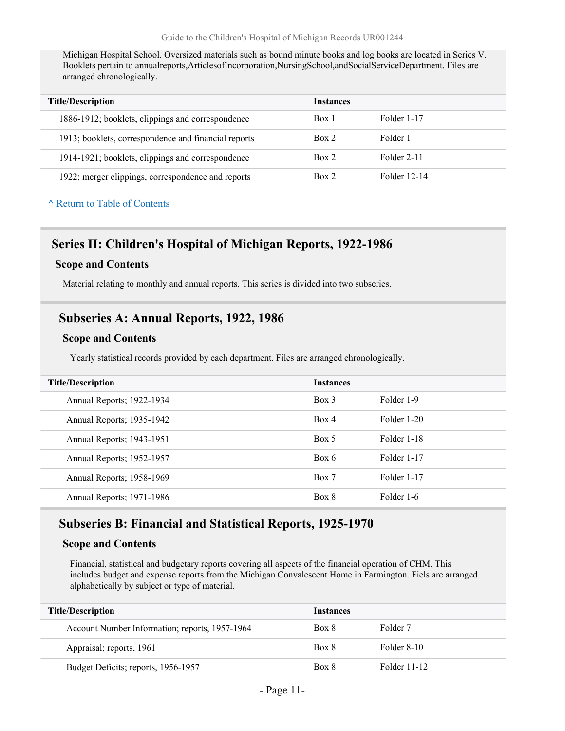Michigan Hospital School. Oversized materials such as bound minute books and log books are located in Series V. Booklets pertain to annualreports,ArticlesofIncorporation,NursingSchool,andSocialServiceDepartment. Files are arranged chronologically.

| <b>Title/Description</b>                             | Instances |              |
|------------------------------------------------------|-----------|--------------|
| 1886-1912; booklets, clippings and correspondence    | Box 1     | Folder 1-17  |
| 1913; booklets, correspondence and financial reports | Box 2     | Folder 1     |
| 1914-1921; booklets, clippings and correspondence    | Box 2     | Folder 2-11  |
| 1922; merger clippings, correspondence and reports   | Box 2     | Folder 12-14 |

#### **^** [Return to Table of Contents](#page-1-0)

### **Series II: Children's Hospital of Michigan Reports, 1922-1986**

#### **Scope and Contents**

Material relating to monthly and annual reports. This series is divided into two subseries.

### **Subseries A: Annual Reports, 1922, 1986**

#### **Scope and Contents**

Yearly statistical records provided by each department. Files are arranged chronologically.

| <b>Title/Description</b>  | <b>Instances</b> |             |
|---------------------------|------------------|-------------|
| Annual Reports; 1922-1934 | $Box$ 3          | Folder 1-9  |
| Annual Reports; 1935-1942 | Box 4            | Folder 1-20 |
| Annual Reports; 1943-1951 | Box 5            | Folder 1-18 |
| Annual Reports; 1952-1957 | Box 6            | Folder 1-17 |
| Annual Reports; 1958-1969 | Box 7            | Folder 1-17 |
| Annual Reports; 1971-1986 | Box 8            | Folder 1-6  |

## **Subseries B: Financial and Statistical Reports, 1925-1970**

#### **Scope and Contents**

Financial, statistical and budgetary reports covering all aspects of the financial operation of CHM. This includes budget and expense reports from the Michigan Convalescent Home in Farmington. Fiels are arranged alphabetically by subject or type of material.

| <b>Title/Description</b>                       | Instances |              |
|------------------------------------------------|-----------|--------------|
| Account Number Information; reports, 1957-1964 | Box 8     | Folder 7     |
| Appraisal; reports, 1961                       | Box 8     | Folder 8-10  |
| Budget Deficits; reports, 1956-1957            | Box 8     | Folder 11-12 |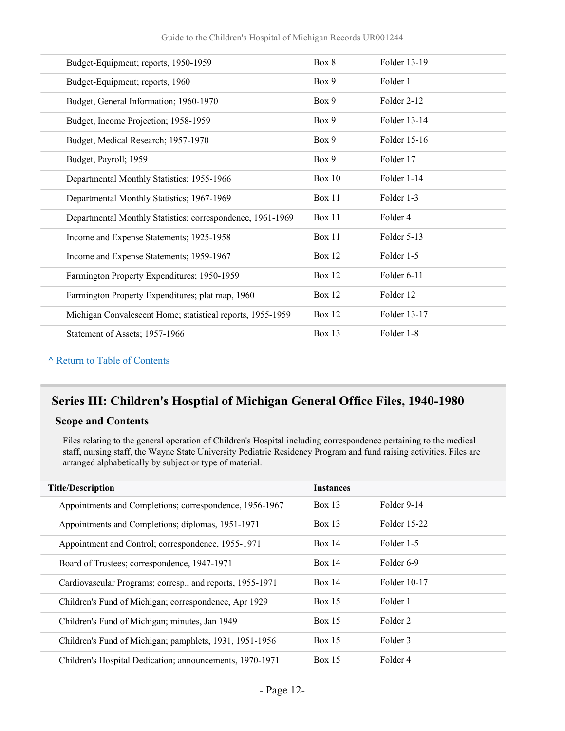Guide to the Children's Hospital of Michigan Records UR001244

| Budget-Equipment; reports, 1950-1959                       | Box 8         | Folder 13-19 |
|------------------------------------------------------------|---------------|--------------|
| Budget-Equipment; reports, 1960                            | Box 9         | Folder 1     |
| Budget, General Information; 1960-1970                     | Box 9         | Folder 2-12  |
| Budget, Income Projection; 1958-1959                       | Box 9         | Folder 13-14 |
| Budget, Medical Research; 1957-1970                        | Box 9         | Folder 15-16 |
| Budget, Payroll; 1959                                      | Box 9         | Folder 17    |
| Departmental Monthly Statistics; 1955-1966                 | <b>Box 10</b> | Folder 1-14  |
| Departmental Monthly Statistics; 1967-1969                 | <b>Box 11</b> | Folder 1-3   |
| Departmental Monthly Statistics; correspondence, 1961-1969 | Box 11        | Folder 4     |
| Income and Expense Statements; 1925-1958                   | <b>Box 11</b> | Folder 5-13  |
| Income and Expense Statements; 1959-1967                   | <b>Box 12</b> | Folder 1-5   |
| Farmington Property Expenditures; 1950-1959                | <b>Box 12</b> | Folder 6-11  |
| Farmington Property Expenditures; plat map, 1960           | <b>Box 12</b> | Folder 12    |
| Michigan Convalescent Home; statistical reports, 1955-1959 | <b>Box 12</b> | Folder 13-17 |
| Statement of Assets; 1957-1966                             | Box 13        | Folder 1-8   |
|                                                            |               |              |

#### **^** [Return to Table of Contents](#page-1-0)

## **Series III: Children's Hosptial of Michigan General Office Files, 1940-1980**

#### **Scope and Contents**

Files relating to the general operation of Children's Hospital including correspondence pertaining to the medical staff, nursing staff, the Wayne State University Pediatric Residency Program and fund raising activities. Files are arranged alphabetically by subject or type of material.

| <b>Title/Description</b>                                  | <b>Instances</b> |              |
|-----------------------------------------------------------|------------------|--------------|
| Appointments and Completions; correspondence, 1956-1967   | Box 13           | Folder 9-14  |
| Appointments and Completions; diplomas, 1951-1971         | $Box$ 13         | Folder 15-22 |
| Appointment and Control; correspondence, 1955-1971        | Box 14           | Folder 1-5   |
| Board of Trustees; correspondence, 1947-1971              | Box $14$         | Folder 6-9   |
| Cardiovascular Programs; corresp., and reports, 1955-1971 | Box 14           | Folder 10-17 |
| Children's Fund of Michigan; correspondence, Apr 1929     | <b>Box 15</b>    | Folder 1     |
| Children's Fund of Michigan; minutes, Jan 1949            | Box $15$         | Folder 2     |
| Children's Fund of Michigan; pamphlets, 1931, 1951-1956   | Box 15           | Folder 3     |
| Children's Hospital Dedication; announcements, 1970-1971  | Box 15           | Folder 4     |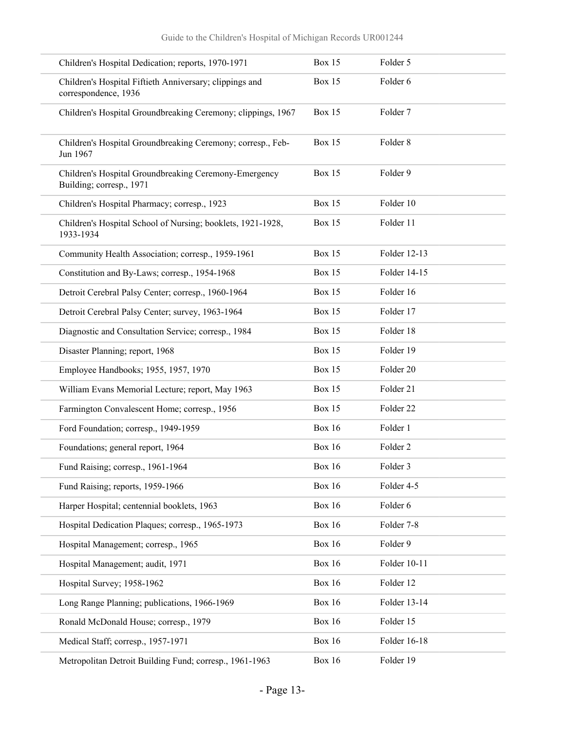| Children's Hospital Dedication; reports, 1970-1971                                | <b>Box 15</b> | Folder 5             |
|-----------------------------------------------------------------------------------|---------------|----------------------|
| Children's Hospital Fiftieth Anniversary; clippings and<br>correspondence, 1936   | <b>Box 15</b> | Folder 6             |
| Children's Hospital Groundbreaking Ceremony; clippings, 1967                      | Box 15        | Folder 7             |
| Children's Hospital Groundbreaking Ceremony; corresp., Feb-<br>Jun 1967           | Box 15        | Folder <sub>8</sub>  |
| Children's Hospital Groundbreaking Ceremony-Emergency<br>Building; corresp., 1971 | Box 15        | Folder 9             |
| Children's Hospital Pharmacy; corresp., 1923                                      | Box 15        | Folder 10            |
| Children's Hospital School of Nursing; booklets, 1921-1928,<br>1933-1934          | Box 15        | Folder 11            |
| Community Health Association; corresp., 1959-1961                                 | Box 15        | Folder 12-13         |
| Constitution and By-Laws; corresp., 1954-1968                                     | Box 15        | Folder 14-15         |
| Detroit Cerebral Palsy Center; corresp., 1960-1964                                | Box 15        | Folder 16            |
| Detroit Cerebral Palsy Center; survey, 1963-1964                                  | Box 15        | Folder 17            |
| Diagnostic and Consultation Service; corresp., 1984                               | Box 15        | Folder 18            |
| Disaster Planning; report, 1968                                                   | Box 15        | Folder 19            |
| Employee Handbooks; 1955, 1957, 1970                                              | Box 15        | Folder 20            |
| William Evans Memorial Lecture; report, May 1963                                  | Box 15        | Folder 21            |
| Farmington Convalescent Home; corresp., 1956                                      | Box 15        | Folder <sub>22</sub> |
| Ford Foundation; corresp., 1949-1959                                              | <b>Box 16</b> | Folder 1             |
| Foundations; general report, 1964                                                 | <b>Box 16</b> | Folder <sub>2</sub>  |
| Fund Raising; corresp., 1961-1964                                                 | <b>Box 16</b> | Folder 3             |
| Fund Raising; reports, 1959-1966                                                  | <b>Box 16</b> | Folder 4-5           |
| Harper Hospital; centennial booklets, 1963                                        | <b>Box 16</b> | Folder 6             |
| Hospital Dedication Plaques; corresp., 1965-1973                                  | <b>Box 16</b> | Folder 7-8           |
| Hospital Management; corresp., 1965                                               | <b>Box 16</b> | Folder 9             |
| Hospital Management; audit, 1971                                                  | <b>Box 16</b> | Folder 10-11         |
| Hospital Survey; 1958-1962                                                        | <b>Box 16</b> | Folder 12            |
| Long Range Planning; publications, 1966-1969                                      | <b>Box 16</b> | Folder 13-14         |
| Ronald McDonald House; corresp., 1979                                             | <b>Box 16</b> | Folder 15            |
| Medical Staff; corresp., 1957-1971                                                | <b>Box 16</b> | Folder 16-18         |
| Metropolitan Detroit Building Fund; corresp., 1961-1963                           | <b>Box 16</b> | Folder 19            |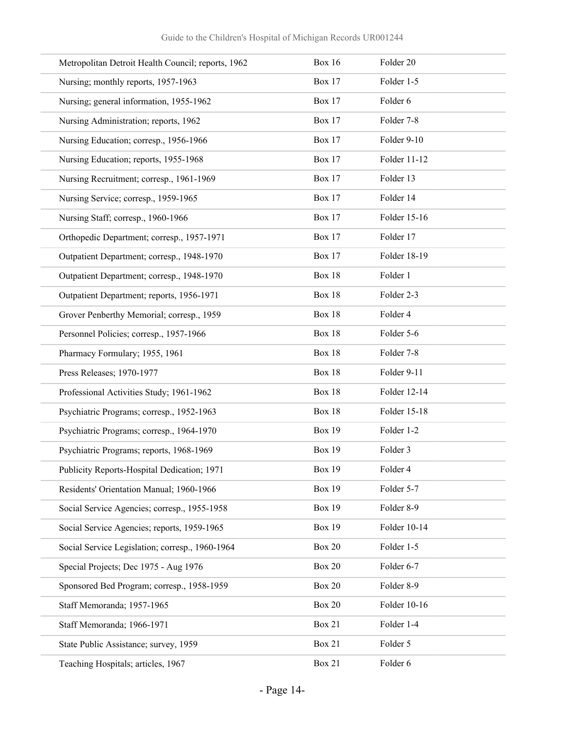| Metropolitan Detroit Health Council; reports, 1962 | <b>Box 16</b> | Folder 20    |
|----------------------------------------------------|---------------|--------------|
| Nursing; monthly reports, 1957-1963                | <b>Box 17</b> | Folder 1-5   |
| Nursing; general information, 1955-1962            | <b>Box 17</b> | Folder 6     |
| Nursing Administration; reports, 1962              | <b>Box 17</b> | Folder 7-8   |
| Nursing Education; corresp., 1956-1966             | <b>Box 17</b> | Folder 9-10  |
| Nursing Education; reports, 1955-1968              | <b>Box 17</b> | Folder 11-12 |
| Nursing Recruitment; corresp., 1961-1969           | <b>Box 17</b> | Folder 13    |
| Nursing Service; corresp., 1959-1965               | <b>Box 17</b> | Folder 14    |
| Nursing Staff; corresp., 1960-1966                 | <b>Box 17</b> | Folder 15-16 |
| Orthopedic Department; corresp., 1957-1971         | <b>Box 17</b> | Folder 17    |
| Outpatient Department; corresp., 1948-1970         | <b>Box 17</b> | Folder 18-19 |
| Outpatient Department; corresp., 1948-1970         | <b>Box 18</b> | Folder 1     |
| Outpatient Department; reports, 1956-1971          | <b>Box 18</b> | Folder 2-3   |
| Grover Penberthy Memorial; corresp., 1959          | <b>Box 18</b> | Folder 4     |
| Personnel Policies; corresp., 1957-1966            | <b>Box 18</b> | Folder 5-6   |
| Pharmacy Formulary; 1955, 1961                     | <b>Box 18</b> | Folder 7-8   |
| Press Releases; 1970-1977                          | <b>Box 18</b> | Folder 9-11  |
| Professional Activities Study; 1961-1962           | <b>Box 18</b> | Folder 12-14 |
| Psychiatric Programs; corresp., 1952-1963          | <b>Box 18</b> | Folder 15-18 |
| Psychiatric Programs; corresp., 1964-1970          | <b>Box 19</b> | Folder 1-2   |
| Psychiatric Programs; reports, 1968-1969           | <b>Box 19</b> | Folder 3     |
| Publicity Reports-Hospital Dedication; 1971        | <b>Box 19</b> | Folder 4     |
| Residents' Orientation Manual; 1960-1966           | <b>Box 19</b> | Folder 5-7   |
| Social Service Agencies; corresp., 1955-1958       | <b>Box 19</b> | Folder 8-9   |
| Social Service Agencies; reports, 1959-1965        | <b>Box 19</b> | Folder 10-14 |
| Social Service Legislation; corresp., 1960-1964    | <b>Box 20</b> | Folder 1-5   |
| Special Projects; Dec 1975 - Aug 1976              | <b>Box 20</b> | Folder 6-7   |
| Sponsored Bed Program; corresp., 1958-1959         | <b>Box 20</b> | Folder 8-9   |
| Staff Memoranda; 1957-1965                         | <b>Box 20</b> | Folder 10-16 |
| Staff Memoranda; 1966-1971                         | <b>Box 21</b> | Folder 1-4   |
| State Public Assistance; survey, 1959              | <b>Box 21</b> | Folder 5     |
| Teaching Hospitals; articles, 1967                 | <b>Box 21</b> | Folder 6     |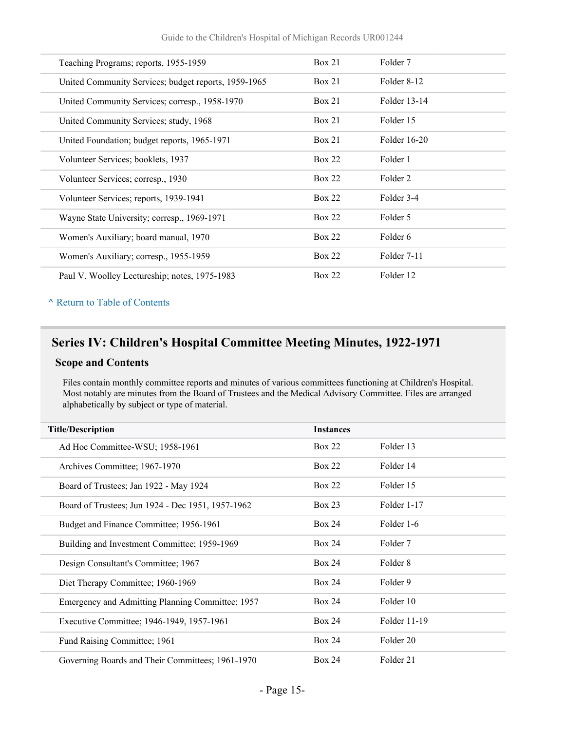| Teaching Programs; reports, 1955-1959                | Box 21        | Folder 7     |
|------------------------------------------------------|---------------|--------------|
| United Community Services; budget reports, 1959-1965 | Box 21        | Folder 8-12  |
| United Community Services; corresp., 1958-1970       | Box 21        | Folder 13-14 |
| United Community Services; study, 1968               | Box 21        | Folder 15    |
| United Foundation; budget reports, 1965-1971         | Box 21        | Folder 16-20 |
| Volunteer Services; booklets, 1937                   | <b>Box 22</b> | Folder 1     |
| Volunteer Services; corresp., 1930                   | <b>Box 22</b> | Folder 2     |
| Volunteer Services; reports, 1939-1941               | <b>Box 22</b> | Folder 3-4   |
| Wayne State University; corresp., 1969-1971          | <b>Box 22</b> | Folder 5     |
| Women's Auxiliary; board manual, 1970                | <b>Box 22</b> | Folder 6     |
| Women's Auxiliary; corresp., 1955-1959               | Box 22        | Folder 7-11  |
| Paul V. Woolley Lectureship; notes, 1975-1983        | <b>Box 22</b> | Folder 12    |

## **Series IV: Children's Hospital Committee Meeting Minutes, 1922-1971**

#### **Scope and Contents**

Files contain monthly committee reports and minutes of various committees functioning at Children's Hospital. Most notably are minutes from the Board of Trustees and the Medical Advisory Committee. Files are arranged alphabetically by subject or type of material.

| <b>Title/Description</b>                          | <b>Instances</b> |              |
|---------------------------------------------------|------------------|--------------|
| Ad Hoc Committee-WSU; 1958-1961                   | Box 22           | Folder 13    |
| Archives Committee; 1967-1970                     | Box 22           | Folder 14    |
| Board of Trustees; Jan 1922 - May 1924            | <b>Box 22</b>    | Folder 15    |
| Board of Trustees; Jun 1924 - Dec 1951, 1957-1962 | Box 23           | Folder 1-17  |
| Budget and Finance Committee; 1956-1961           | <b>Box 24</b>    | Folder 1-6   |
| Building and Investment Committee; 1959-1969      | <b>Box 24</b>    | Folder 7     |
| Design Consultant's Committee; 1967               | <b>Box 24</b>    | Folder 8     |
| Diet Therapy Committee; 1960-1969                 | Box 24           | Folder 9     |
| Emergency and Admitting Planning Committee; 1957  | Box 24           | Folder 10    |
| Executive Committee; 1946-1949, 1957-1961         | Box 24           | Folder 11-19 |
| Fund Raising Committee; 1961                      | <b>Box 24</b>    | Folder 20    |
| Governing Boards and Their Committees; 1961-1970  | Box 24           | Folder 21    |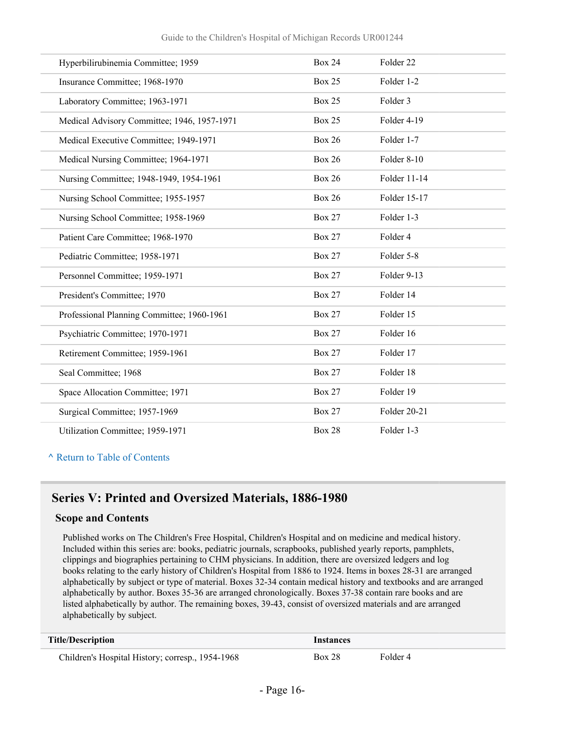| Hyperbilirubinemia Committee; 1959          | <b>Box 24</b> | Folder <sub>22</sub> |
|---------------------------------------------|---------------|----------------------|
| Insurance Committee; 1968-1970              | <b>Box 25</b> | Folder 1-2           |
| Laboratory Committee; 1963-1971             | <b>Box 25</b> | Folder 3             |
| Medical Advisory Committee; 1946, 1957-1971 | <b>Box 25</b> | Folder 4-19          |
| Medical Executive Committee; 1949-1971      | <b>Box 26</b> | Folder 1-7           |
| Medical Nursing Committee; 1964-1971        | <b>Box 26</b> | Folder 8-10          |
| Nursing Committee; 1948-1949, 1954-1961     | <b>Box 26</b> | Folder 11-14         |
| Nursing School Committee; 1955-1957         | <b>Box 26</b> | Folder 15-17         |
| Nursing School Committee; 1958-1969         | <b>Box 27</b> | Folder 1-3           |
| Patient Care Committee; 1968-1970           | <b>Box 27</b> | Folder 4             |
| Pediatric Committee; 1958-1971              | <b>Box 27</b> | Folder 5-8           |
| Personnel Committee; 1959-1971              | <b>Box 27</b> | Folder 9-13          |
| President's Committee; 1970                 | <b>Box 27</b> | Folder 14            |
| Professional Planning Committee; 1960-1961  | <b>Box 27</b> | Folder 15            |
| Psychiatric Committee; 1970-1971            | <b>Box 27</b> | Folder 16            |
| Retirement Committee; 1959-1961             | <b>Box 27</b> | Folder 17            |
| Seal Committee; 1968                        | <b>Box 27</b> | Folder 18            |
| Space Allocation Committee; 1971            | <b>Box 27</b> | Folder 19            |
| Surgical Committee; 1957-1969               | <b>Box 27</b> | Folder 20-21         |
| Utilization Committee; 1959-1971            | <b>Box 28</b> | Folder 1-3           |

## **Series V: Printed and Oversized Materials, 1886-1980**

#### **Scope and Contents**

Published works on The Children's Free Hospital, Children's Hospital and on medicine and medical history. Included within this series are: books, pediatric journals, scrapbooks, published yearly reports, pamphlets, clippings and biographies pertaining to CHM physicians. In addition, there are oversized ledgers and log books relating to the early history of Children's Hospital from 1886 to 1924. Items in boxes 28-31 are arranged alphabetically by subject or type of material. Boxes 32-34 contain medical history and textbooks and are arranged alphabetically by author. Boxes 35-36 are arranged chronologically. Boxes 37-38 contain rare books and are listed alphabetically by author. The remaining boxes, 39-43, consist of oversized materials and are arranged alphabetically by subject.

| <b>Title/Description</b>                         | Instances     |          |
|--------------------------------------------------|---------------|----------|
| Children's Hospital History; corresp., 1954-1968 | <b>Box 28</b> | Folder 4 |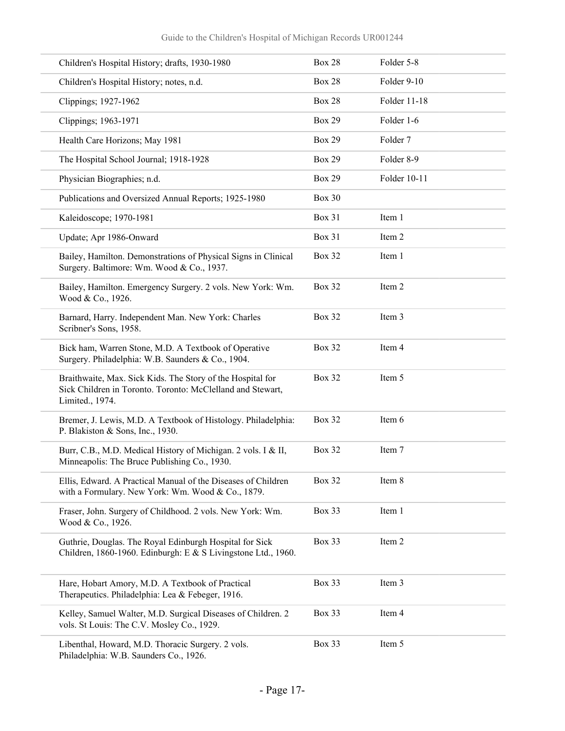| Children's Hospital History; drafts, 1930-1980                                                                                              | <b>Box 28</b> | Folder 5-8   |
|---------------------------------------------------------------------------------------------------------------------------------------------|---------------|--------------|
| Children's Hospital History; notes, n.d.                                                                                                    | <b>Box 28</b> | Folder 9-10  |
| Clippings; 1927-1962                                                                                                                        | <b>Box 28</b> | Folder 11-18 |
| Clippings; 1963-1971                                                                                                                        | <b>Box 29</b> | Folder 1-6   |
| Health Care Horizons; May 1981                                                                                                              | <b>Box 29</b> | Folder 7     |
| The Hospital School Journal; 1918-1928                                                                                                      | <b>Box 29</b> | Folder 8-9   |
| Physician Biographies; n.d.                                                                                                                 | <b>Box 29</b> | Folder 10-11 |
| Publications and Oversized Annual Reports; 1925-1980                                                                                        | <b>Box 30</b> |              |
| Kaleidoscope; 1970-1981                                                                                                                     | <b>Box 31</b> | Item 1       |
| Update; Apr 1986-Onward                                                                                                                     | <b>Box 31</b> | Item 2       |
| Bailey, Hamilton. Demonstrations of Physical Signs in Clinical<br>Surgery. Baltimore: Wm. Wood & Co., 1937.                                 | <b>Box 32</b> | Item 1       |
| Bailey, Hamilton. Emergency Surgery. 2 vols. New York: Wm.<br>Wood & Co., 1926.                                                             | <b>Box 32</b> | Item 2       |
| Barnard, Harry. Independent Man. New York: Charles<br>Scribner's Sons, 1958.                                                                | <b>Box 32</b> | Item 3       |
| Bick ham, Warren Stone, M.D. A Textbook of Operative<br>Surgery. Philadelphia: W.B. Saunders & Co., 1904.                                   | <b>Box 32</b> | Item 4       |
| Braithwaite, Max. Sick Kids. The Story of the Hospital for<br>Sick Children in Toronto. Toronto: McClelland and Stewart,<br>Limited., 1974. | <b>Box 32</b> | Item 5       |
| Bremer, J. Lewis, M.D. A Textbook of Histology. Philadelphia:<br>P. Blakiston & Sons, Inc., 1930.                                           | <b>Box 32</b> | Item 6       |
| Burr, C.B., M.D. Medical History of Michigan. 2 vols. I & II,<br>Minneapolis: The Bruce Publishing Co., 1930.                               | <b>Box 32</b> | Item 7       |
| Ellis, Edward. A Practical Manual of the Diseases of Children<br>with a Formulary. New York: Wm. Wood & Co., 1879.                          | <b>Box 32</b> | Item 8       |
| Fraser, John. Surgery of Childhood. 2 vols. New York: Wm.<br>Wood & Co., 1926.                                                              | Box 33        | Item 1       |
| Guthrie, Douglas. The Royal Edinburgh Hospital for Sick<br>Children, 1860-1960. Edinburgh: E & S Livingstone Ltd., 1960.                    | <b>Box 33</b> | Item 2       |
| Hare, Hobart Amory, M.D. A Textbook of Practical<br>Therapeutics. Philadelphia: Lea & Febeger, 1916.                                        | Box 33        | Item 3       |
| Kelley, Samuel Walter, M.D. Surgical Diseases of Children. 2<br>vols. St Louis: The C.V. Mosley Co., 1929.                                  | Box 33        | Item 4       |
| Libenthal, Howard, M.D. Thoracic Surgery. 2 vols.<br>Philadelphia: W.B. Saunders Co., 1926.                                                 | Box 33        | Item 5       |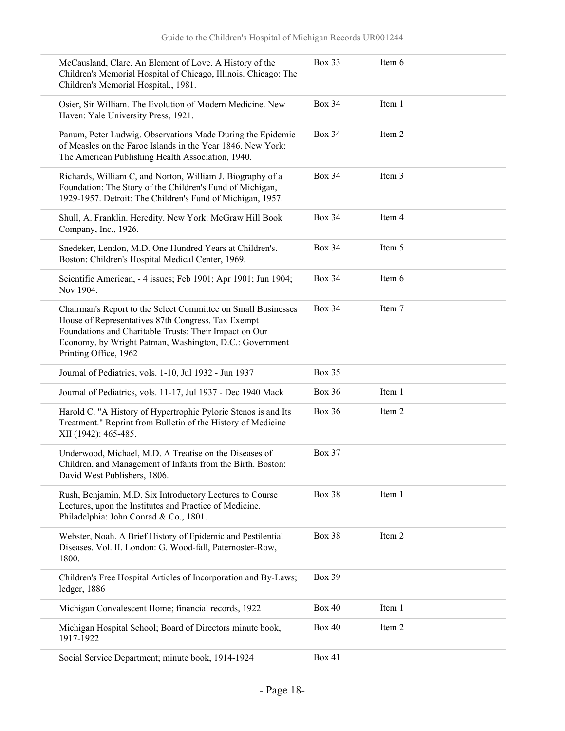| McCausland, Clare. An Element of Love. A History of the<br>Children's Memorial Hospital of Chicago, Illinois. Chicago: The<br>Children's Memorial Hospital., 1981.                                                                                                | Box 33        | Item 6 |  |
|-------------------------------------------------------------------------------------------------------------------------------------------------------------------------------------------------------------------------------------------------------------------|---------------|--------|--|
| Osier, Sir William. The Evolution of Modern Medicine. New<br>Haven: Yale University Press, 1921.                                                                                                                                                                  | <b>Box 34</b> | Item 1 |  |
| Panum, Peter Ludwig. Observations Made During the Epidemic<br>of Measles on the Faroe Islands in the Year 1846. New York:<br>The American Publishing Health Association, 1940.                                                                                    | <b>Box 34</b> | Item 2 |  |
| Richards, William C, and Norton, William J. Biography of a<br>Foundation: The Story of the Children's Fund of Michigan,<br>1929-1957. Detroit: The Children's Fund of Michigan, 1957.                                                                             | <b>Box 34</b> | Item 3 |  |
| Shull, A. Franklin. Heredity. New York: McGraw Hill Book<br>Company, Inc., 1926.                                                                                                                                                                                  | <b>Box 34</b> | Item 4 |  |
| Snedeker, Lendon, M.D. One Hundred Years at Children's.<br>Boston: Children's Hospital Medical Center, 1969.                                                                                                                                                      | <b>Box 34</b> | Item 5 |  |
| Scientific American, - 4 issues; Feb 1901; Apr 1901; Jun 1904;<br>Nov 1904.                                                                                                                                                                                       | <b>Box 34</b> | Item 6 |  |
| Chairman's Report to the Select Committee on Small Businesses<br>House of Representatives 87th Congress. Tax Exempt<br>Foundations and Charitable Trusts: Their Impact on Our<br>Economy, by Wright Patman, Washington, D.C.: Government<br>Printing Office, 1962 | <b>Box 34</b> | Item 7 |  |
|                                                                                                                                                                                                                                                                   |               |        |  |
| Journal of Pediatrics, vols. 1-10, Jul 1932 - Jun 1937                                                                                                                                                                                                            | Box 35        |        |  |
| Journal of Pediatrics, vols. 11-17, Jul 1937 - Dec 1940 Mack                                                                                                                                                                                                      | <b>Box 36</b> | Item 1 |  |
| Harold C. "A History of Hypertrophic Pyloric Stenos is and Its<br>Treatment." Reprint from Bulletin of the History of Medicine<br>XII (1942): 465-485.                                                                                                            | <b>Box 36</b> | Item 2 |  |
| Underwood, Michael, M.D. A Treatise on the Diseases of<br>Children, and Management of Infants from the Birth. Boston:<br>David West Publishers, 1806.                                                                                                             | <b>Box 37</b> |        |  |
| Rush, Benjamin, M.D. Six Introductory Lectures to Course<br>Lectures, upon the Institutes and Practice of Medicine.<br>Philadelphia: John Conrad & Co., 1801.                                                                                                     | Box 38        | Item 1 |  |
| Webster, Noah. A Brief History of Epidemic and Pestilential<br>Diseases. Vol. II. London: G. Wood-fall, Paternoster-Row,<br>1800.                                                                                                                                 | Box 38        | Item 2 |  |
| Children's Free Hospital Articles of Incorporation and By-Laws;<br>ledger, 1886                                                                                                                                                                                   | <b>Box 39</b> |        |  |
| Michigan Convalescent Home; financial records, 1922                                                                                                                                                                                                               | <b>Box 40</b> | Item 1 |  |
| Michigan Hospital School; Board of Directors minute book,<br>1917-1922                                                                                                                                                                                            | <b>Box 40</b> | Item 2 |  |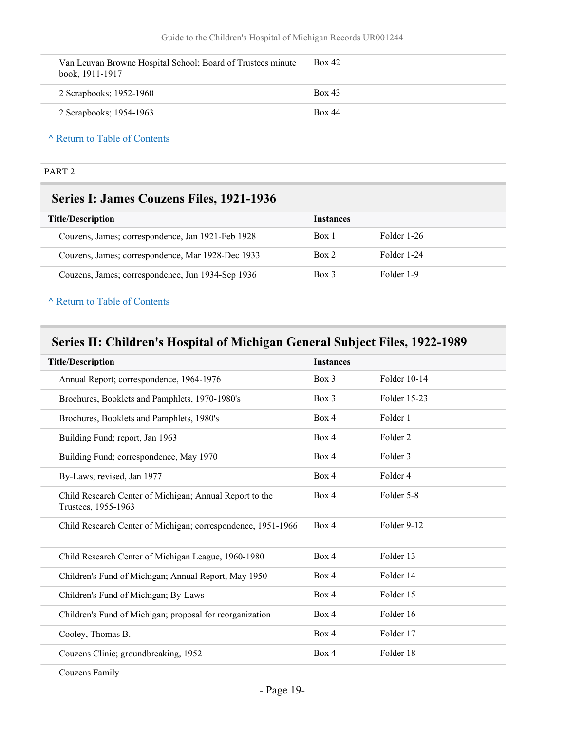| Van Leuvan Browne Hospital School; Board of Trustees minute<br>book, 1911-1917 | <b>Box 42</b> |
|--------------------------------------------------------------------------------|---------------|
| 2 Scrapbooks; 1952-1960                                                        | <b>Box 43</b> |
| 2 Scrapbooks; 1954-1963                                                        | <b>Box 44</b> |

#### PART 2

### **Series I: James Couzens Files, 1921-1936**

| <b>Title/Description</b>                          | <b>Instances</b> |             |
|---------------------------------------------------|------------------|-------------|
| Couzens, James; correspondence, Jan 1921-Feb 1928 | Box 1            | Folder 1-26 |
| Couzens, James; correspondence, Mar 1928-Dec 1933 | Box 2            | Folder 1-24 |
| Couzens, James; correspondence, Jun 1934-Sep 1936 | $Box$ 3          | Folder 1-9  |

#### **^** [Return to Table of Contents](#page-1-0)

## **Series II: Children's Hospital of Michigan General Subject Files, 1922-1989**

| <b>Title/Description</b>                                                       | <b>Instances</b> |                     |
|--------------------------------------------------------------------------------|------------------|---------------------|
| Annual Report; correspondence, 1964-1976                                       | Box 3            | Folder 10-14        |
| Brochures, Booklets and Pamphlets, 1970-1980's                                 | Box 3            | Folder 15-23        |
| Brochures, Booklets and Pamphlets, 1980's                                      | Box 4            | Folder 1            |
| Building Fund; report, Jan 1963                                                | Box 4            | Folder <sub>2</sub> |
| Building Fund; correspondence, May 1970                                        | Box 4            | Folder 3            |
| By-Laws; revised, Jan 1977                                                     | Box 4            | Folder 4            |
| Child Research Center of Michigan; Annual Report to the<br>Trustees, 1955-1963 | Box 4            | Folder 5-8          |
| Child Research Center of Michigan; correspondence, 1951-1966                   | Box 4            | Folder 9-12         |
| Child Research Center of Michigan League, 1960-1980                            | Box 4            | Folder 13           |
| Children's Fund of Michigan; Annual Report, May 1950                           | Box 4            | Folder 14           |
| Children's Fund of Michigan; By-Laws                                           | Box 4            | Folder 15           |
| Children's Fund of Michigan; proposal for reorganization                       | Box 4            | Folder 16           |
| Cooley, Thomas B.                                                              | Box 4            | Folder 17           |
| Couzens Clinic; groundbreaking, 1952                                           | Box 4            | Folder 18           |
|                                                                                |                  |                     |

Couzens Family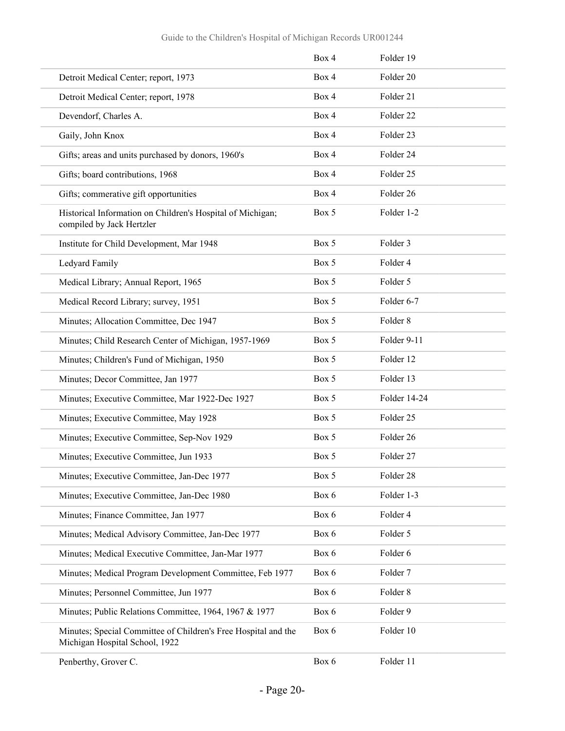|                                                                                                  | Box 4 | Folder 19            |
|--------------------------------------------------------------------------------------------------|-------|----------------------|
| Detroit Medical Center; report, 1973                                                             | Box 4 | Folder 20            |
| Detroit Medical Center; report, 1978                                                             | Box 4 | Folder 21            |
| Devendorf, Charles A.                                                                            | Box 4 | Folder <sub>22</sub> |
| Gaily, John Knox                                                                                 | Box 4 | Folder 23            |
| Gifts; areas and units purchased by donors, 1960's                                               | Box 4 | Folder 24            |
| Gifts; board contributions, 1968                                                                 | Box 4 | Folder <sub>25</sub> |
| Gifts; commerative gift opportunities                                                            | Box 4 | Folder 26            |
| Historical Information on Children's Hospital of Michigan;<br>compiled by Jack Hertzler          | Box 5 | Folder 1-2           |
| Institute for Child Development, Mar 1948                                                        | Box 5 | Folder 3             |
| Ledyard Family                                                                                   | Box 5 | Folder 4             |
| Medical Library; Annual Report, 1965                                                             | Box 5 | Folder 5             |
| Medical Record Library; survey, 1951                                                             | Box 5 | Folder 6-7           |
| Minutes; Allocation Committee, Dec 1947                                                          | Box 5 | Folder <sub>8</sub>  |
| Minutes; Child Research Center of Michigan, 1957-1969                                            | Box 5 | Folder 9-11          |
| Minutes; Children's Fund of Michigan, 1950                                                       | Box 5 | Folder 12            |
| Minutes; Decor Committee, Jan 1977                                                               | Box 5 | Folder 13            |
| Minutes; Executive Committee, Mar 1922-Dec 1927                                                  | Box 5 | Folder 14-24         |
| Minutes; Executive Committee, May 1928                                                           | Box 5 | Folder 25            |
| Minutes; Executive Committee, Sep-Nov 1929                                                       | Box 5 | Folder 26            |
| Minutes; Executive Committee, Jun 1933                                                           | Box 5 | Folder 27            |
| Minutes; Executive Committee, Jan-Dec 1977                                                       | Box 5 | Folder 28            |
| Minutes; Executive Committee, Jan-Dec 1980                                                       | Box 6 | Folder 1-3           |
| Minutes; Finance Committee, Jan 1977                                                             | Box 6 | Folder 4             |
| Minutes; Medical Advisory Committee, Jan-Dec 1977                                                | Box 6 | Folder 5             |
| Minutes; Medical Executive Committee, Jan-Mar 1977                                               | Box 6 | Folder 6             |
| Minutes; Medical Program Development Committee, Feb 1977                                         | Box 6 | Folder 7             |
| Minutes; Personnel Committee, Jun 1977                                                           | Box 6 | Folder 8             |
| Minutes; Public Relations Committee, 1964, 1967 & 1977                                           | Box 6 | Folder 9             |
| Minutes; Special Committee of Children's Free Hospital and the<br>Michigan Hospital School, 1922 | Box 6 | Folder 10            |
| Penberthy, Grover C.                                                                             | Box 6 | Folder 11            |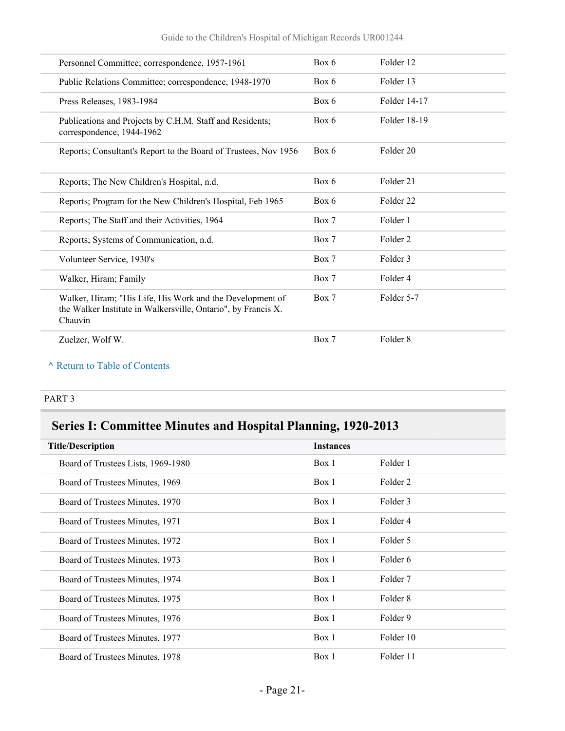| Personnel Committee; correspondence, 1957-1961                                                                                        | Box 6 | Folder 12            |
|---------------------------------------------------------------------------------------------------------------------------------------|-------|----------------------|
| Public Relations Committee; correspondence, 1948-1970                                                                                 | Box 6 | Folder 13            |
| Press Releases, 1983-1984                                                                                                             | Box 6 | Folder 14-17         |
| Publications and Projects by C.H.M. Staff and Residents;<br>correspondence, 1944-1962                                                 | Box 6 | Folder 18-19         |
| Reports; Consultant's Report to the Board of Trustees, Nov 1956                                                                       | Box 6 | Folder 20            |
| Reports; The New Children's Hospital, n.d.                                                                                            | Box 6 | Folder 21            |
| Reports; Program for the New Children's Hospital, Feb 1965                                                                            | Box 6 | Folder <sub>22</sub> |
| Reports; The Staff and their Activities, 1964                                                                                         | Box 7 | Folder 1             |
| Reports; Systems of Communication, n.d.                                                                                               | Box 7 | Folder <sub>2</sub>  |
| Volunteer Service, 1930's                                                                                                             | Box 7 | Folder 3             |
| Walker, Hiram; Family                                                                                                                 | Box 7 | Folder 4             |
| Walker, Hiram; "His Life, His Work and the Development of<br>the Walker Institute in Walkersville, Ontario", by Francis X.<br>Chauvin | Box 7 | Folder 5-7           |
| Zuelzer, Wolf W.                                                                                                                      | Box 7 | Folder <sub>8</sub>  |
|                                                                                                                                       |       |                      |

#### PART 3

## **Series I: Committee Minutes and Hospital Planning, 1920-2013**

| <b>Title/Description</b>           | <b>Instances</b> |           |
|------------------------------------|------------------|-----------|
| Board of Trustees Lists, 1969-1980 | Box 1            | Folder 1  |
| Board of Trustees Minutes, 1969    | Box 1            | Folder 2  |
| Board of Trustees Minutes, 1970    | Box 1            | Folder 3  |
| Board of Trustees Minutes, 1971    | Box 1            | Folder 4  |
| Board of Trustees Minutes, 1972    | Box 1            | Folder 5  |
| Board of Trustees Minutes, 1973    | Box 1            | Folder 6  |
| Board of Trustees Minutes, 1974    | Box 1            | Folder 7  |
| Board of Trustees Minutes, 1975    | Box 1            | Folder 8  |
| Board of Trustees Minutes, 1976    | Box 1            | Folder 9  |
| Board of Trustees Minutes, 1977    | Box 1            | Folder 10 |
| Board of Trustees Minutes, 1978    | Box 1            | Folder 11 |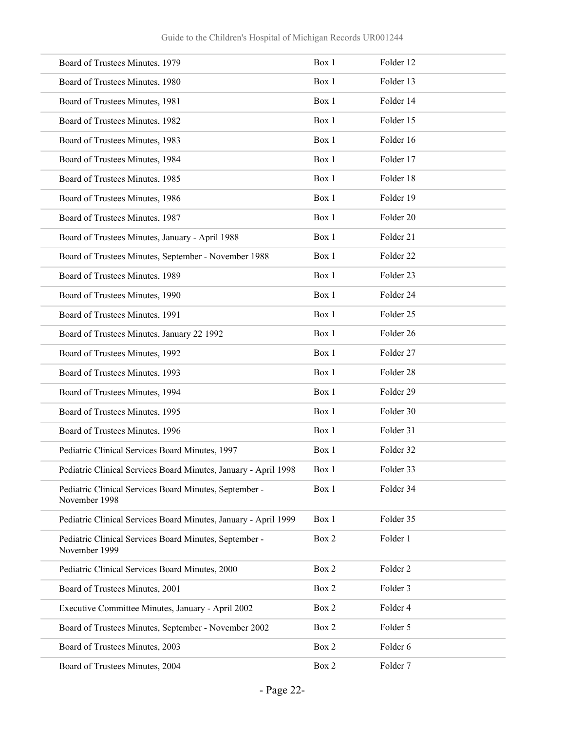| Board of Trustees Minutes, 1979                                         | Box 1 | Folder 12            |
|-------------------------------------------------------------------------|-------|----------------------|
| Board of Trustees Minutes, 1980                                         | Box 1 | Folder 13            |
| Board of Trustees Minutes, 1981                                         | Box 1 | Folder 14            |
| Board of Trustees Minutes, 1982                                         | Box 1 | Folder 15            |
| Board of Trustees Minutes, 1983                                         | Box 1 | Folder 16            |
| Board of Trustees Minutes, 1984                                         | Box 1 | Folder 17            |
| Board of Trustees Minutes, 1985                                         | Box 1 | Folder 18            |
| Board of Trustees Minutes, 1986                                         | Box 1 | Folder 19            |
| Board of Trustees Minutes, 1987                                         | Box 1 | Folder 20            |
| Board of Trustees Minutes, January - April 1988                         | Box 1 | Folder 21            |
| Board of Trustees Minutes, September - November 1988                    | Box 1 | Folder <sub>22</sub> |
| Board of Trustees Minutes, 1989                                         | Box 1 | Folder <sub>23</sub> |
| Board of Trustees Minutes, 1990                                         | Box 1 | Folder 24            |
| Board of Trustees Minutes, 1991                                         | Box 1 | Folder <sub>25</sub> |
| Board of Trustees Minutes, January 22 1992                              | Box 1 | Folder <sub>26</sub> |
| Board of Trustees Minutes, 1992                                         | Box 1 | Folder 27            |
| Board of Trustees Minutes, 1993                                         | Box 1 | Folder 28            |
| Board of Trustees Minutes, 1994                                         | Box 1 | Folder 29            |
| Board of Trustees Minutes, 1995                                         | Box 1 | Folder 30            |
| Board of Trustees Minutes, 1996                                         | Box 1 | Folder 31            |
| Pediatric Clinical Services Board Minutes, 1997                         | Box 1 | Folder 32            |
| Pediatric Clinical Services Board Minutes, January - April 1998         | Box 1 | Folder 33            |
| Pediatric Clinical Services Board Minutes, September -<br>November 1998 | Box 1 | Folder 34            |
| Pediatric Clinical Services Board Minutes, January - April 1999         | Box 1 | Folder 35            |
| Pediatric Clinical Services Board Minutes, September -<br>November 1999 | Box 2 | Folder 1             |
| Pediatric Clinical Services Board Minutes, 2000                         | Box 2 | Folder 2             |
| Board of Trustees Minutes, 2001                                         | Box 2 | Folder 3             |
| Executive Committee Minutes, January - April 2002                       | Box 2 | Folder 4             |
| Board of Trustees Minutes, September - November 2002                    | Box 2 | Folder 5             |
| Board of Trustees Minutes, 2003                                         | Box 2 | Folder 6             |
| Board of Trustees Minutes, 2004                                         | Box 2 | Folder 7             |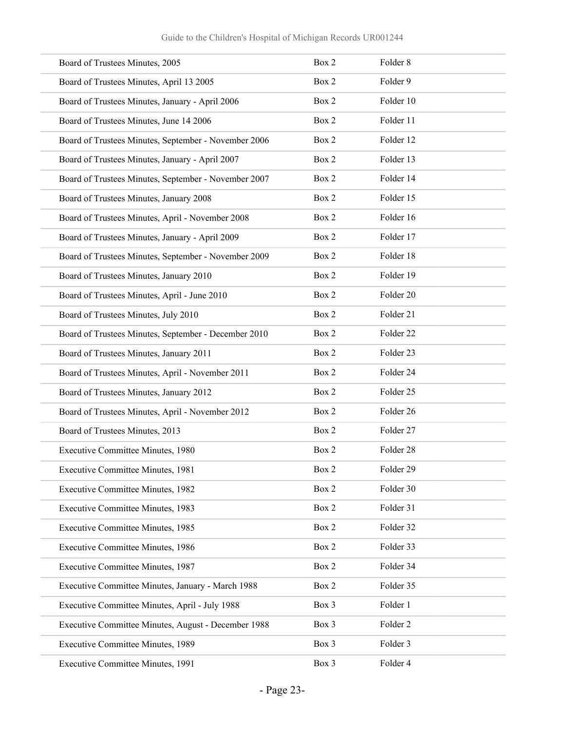| Board of Trustees Minutes, 2005                      | Box 2 | Folder 8            |
|------------------------------------------------------|-------|---------------------|
| Board of Trustees Minutes, April 13 2005             | Box 2 | Folder 9            |
| Board of Trustees Minutes, January - April 2006      | Box 2 | Folder 10           |
| Board of Trustees Minutes, June 14 2006              | Box 2 | Folder 11           |
| Board of Trustees Minutes, September - November 2006 | Box 2 | Folder 12           |
| Board of Trustees Minutes, January - April 2007      | Box 2 | Folder 13           |
| Board of Trustees Minutes, September - November 2007 | Box 2 | Folder 14           |
| Board of Trustees Minutes, January 2008              | Box 2 | Folder 15           |
| Board of Trustees Minutes, April - November 2008     | Box 2 | Folder 16           |
| Board of Trustees Minutes, January - April 2009      | Box 2 | Folder 17           |
| Board of Trustees Minutes, September - November 2009 | Box 2 | Folder 18           |
| Board of Trustees Minutes, January 2010              | Box 2 | Folder 19           |
| Board of Trustees Minutes, April - June 2010         | Box 2 | Folder 20           |
| Board of Trustees Minutes, July 2010                 | Box 2 | Folder 21           |
| Board of Trustees Minutes, September - December 2010 | Box 2 | Folder 22           |
| Board of Trustees Minutes, January 2011              | Box 2 | Folder 23           |
| Board of Trustees Minutes, April - November 2011     | Box 2 | Folder 24           |
| Board of Trustees Minutes, January 2012              | Box 2 | Folder 25           |
| Board of Trustees Minutes, April - November 2012     | Box 2 | Folder 26           |
| Board of Trustees Minutes, 2013                      | Box 2 | Folder 27           |
| Executive Committee Minutes, 1980                    | Box 2 | Folder 28           |
| Executive Committee Minutes, 1981                    | Box 2 | Folder 29           |
| Executive Committee Minutes, 1982                    | Box 2 | Folder 30           |
| Executive Committee Minutes, 1983                    | Box 2 | Folder 31           |
| Executive Committee Minutes, 1985                    | Box 2 | Folder 32           |
| <b>Executive Committee Minutes, 1986</b>             | Box 2 | Folder 33           |
| Executive Committee Minutes, 1987                    | Box 2 | Folder 34           |
| Executive Committee Minutes, January - March 1988    | Box 2 | Folder 35           |
| Executive Committee Minutes, April - July 1988       | Box 3 | Folder 1            |
| Executive Committee Minutes, August - December 1988  | Box 3 | Folder <sub>2</sub> |
| Executive Committee Minutes, 1989                    | Box 3 | Folder 3            |
| Executive Committee Minutes, 1991                    | Box 3 | Folder 4            |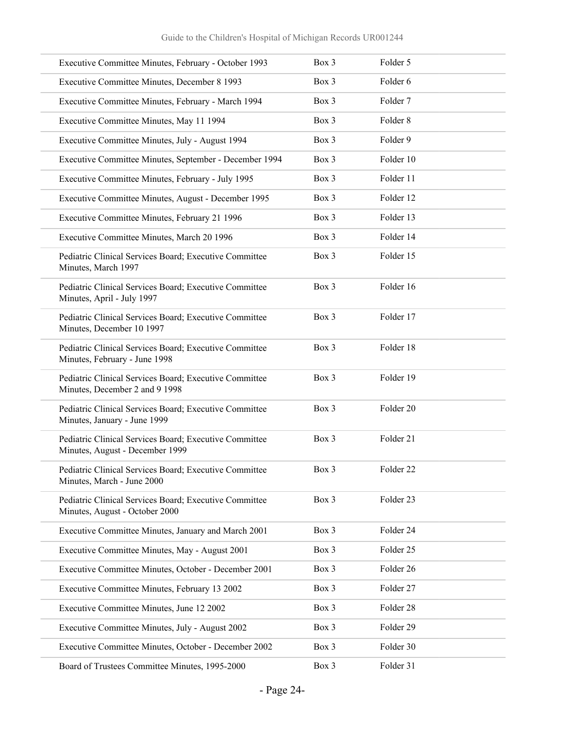| Executive Committee Minutes, February - October 1993                                      | Box 3 | Folder 5             |
|-------------------------------------------------------------------------------------------|-------|----------------------|
| Executive Committee Minutes, December 8 1993                                              | Box 3 | Folder 6             |
| Executive Committee Minutes, February - March 1994                                        | Box 3 | Folder 7             |
| Executive Committee Minutes, May 11 1994                                                  | Box 3 | Folder <sub>8</sub>  |
| Executive Committee Minutes, July - August 1994                                           | Box 3 | Folder 9             |
| Executive Committee Minutes, September - December 1994                                    | Box 3 | Folder 10            |
| Executive Committee Minutes, February - July 1995                                         | Box 3 | Folder 11            |
| Executive Committee Minutes, August - December 1995                                       | Box 3 | Folder 12            |
| Executive Committee Minutes, February 21 1996                                             | Box 3 | Folder 13            |
| Executive Committee Minutes, March 20 1996                                                | Box 3 | Folder 14            |
| Pediatric Clinical Services Board; Executive Committee<br>Minutes, March 1997             | Box 3 | Folder 15            |
| Pediatric Clinical Services Board; Executive Committee<br>Minutes, April - July 1997      | Box 3 | Folder 16            |
| Pediatric Clinical Services Board; Executive Committee<br>Minutes, December 10 1997       | Box 3 | Folder 17            |
| Pediatric Clinical Services Board; Executive Committee<br>Minutes, February - June 1998   | Box 3 | Folder 18            |
| Pediatric Clinical Services Board; Executive Committee<br>Minutes, December 2 and 9 1998  | Box 3 | Folder 19            |
| Pediatric Clinical Services Board; Executive Committee<br>Minutes, January - June 1999    | Box 3 | Folder 20            |
| Pediatric Clinical Services Board; Executive Committee<br>Minutes, August - December 1999 | Box 3 | Folder 21            |
| Pediatric Clinical Services Board; Executive Committee<br>Minutes, March - June 2000      | Box 3 | Folder <sub>22</sub> |
| Pediatric Clinical Services Board; Executive Committee<br>Minutes, August - October 2000  | Box 3 | Folder 23            |
| Executive Committee Minutes, January and March 2001                                       | Box 3 | Folder 24            |
| Executive Committee Minutes, May - August 2001                                            | Box 3 | Folder 25            |
| Executive Committee Minutes, October - December 2001                                      | Box 3 | Folder 26            |
| Executive Committee Minutes, February 13 2002                                             | Box 3 | Folder 27            |
| Executive Committee Minutes, June 12 2002                                                 | Box 3 | Folder 28            |
| Executive Committee Minutes, July - August 2002                                           | Box 3 | Folder 29            |
| Executive Committee Minutes, October - December 2002                                      | Box 3 | Folder 30            |
| Board of Trustees Committee Minutes, 1995-2000                                            | Box 3 | Folder 31            |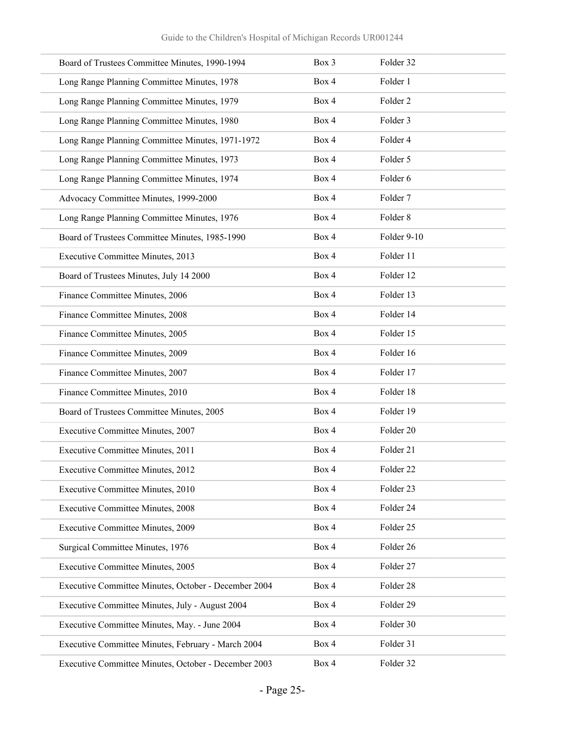| Board of Trustees Committee Minutes, 1990-1994       | Box 3 | Folder 32            |
|------------------------------------------------------|-------|----------------------|
| Long Range Planning Committee Minutes, 1978          | Box 4 | Folder 1             |
| Long Range Planning Committee Minutes, 1979          | Box 4 | Folder <sub>2</sub>  |
| Long Range Planning Committee Minutes, 1980          | Box 4 | Folder 3             |
| Long Range Planning Committee Minutes, 1971-1972     | Box 4 | Folder 4             |
| Long Range Planning Committee Minutes, 1973          | Box 4 | Folder 5             |
| Long Range Planning Committee Minutes, 1974          | Box 4 | Folder 6             |
| Advocacy Committee Minutes, 1999-2000                | Box 4 | Folder 7             |
| Long Range Planning Committee Minutes, 1976          | Box 4 | Folder 8             |
| Board of Trustees Committee Minutes, 1985-1990       | Box 4 | Folder 9-10          |
| <b>Executive Committee Minutes, 2013</b>             | Box 4 | Folder 11            |
| Board of Trustees Minutes, July 14 2000              | Box 4 | Folder 12            |
| Finance Committee Minutes, 2006                      | Box 4 | Folder 13            |
| Finance Committee Minutes, 2008                      | Box 4 | Folder 14            |
| Finance Committee Minutes, 2005                      | Box 4 | Folder 15            |
| Finance Committee Minutes, 2009                      | Box 4 | Folder 16            |
| Finance Committee Minutes, 2007                      | Box 4 | Folder 17            |
| Finance Committee Minutes, 2010                      | Box 4 | Folder 18            |
| Board of Trustees Committee Minutes, 2005            | Box 4 | Folder 19            |
| Executive Committee Minutes, 2007                    | Box 4 | Folder 20            |
| Executive Committee Minutes, 2011                    | Box 4 | Folder 21            |
| <b>Executive Committee Minutes, 2012</b>             | Box 4 | Folder <sub>22</sub> |
| Executive Committee Minutes, 2010                    | Box 4 | Folder 23            |
| <b>Executive Committee Minutes, 2008</b>             | Box 4 | Folder 24            |
| Executive Committee Minutes, 2009                    | Box 4 | Folder 25            |
| Surgical Committee Minutes, 1976                     | Box 4 | Folder 26            |
| Executive Committee Minutes, 2005                    | Box 4 | Folder 27            |
| Executive Committee Minutes, October - December 2004 | Box 4 | Folder 28            |
| Executive Committee Minutes, July - August 2004      | Box 4 | Folder 29            |
| Executive Committee Minutes, May. - June 2004        | Box 4 | Folder 30            |
| Executive Committee Minutes, February - March 2004   | Box 4 | Folder 31            |
| Executive Committee Minutes, October - December 2003 | Box 4 | Folder 32            |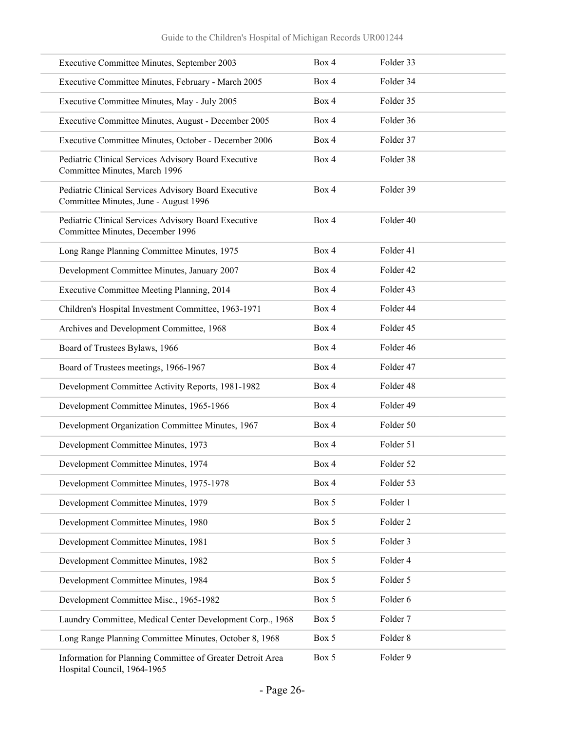| Executive Committee Minutes, September 2003                                                   | Box 4 | Folder 33 |
|-----------------------------------------------------------------------------------------------|-------|-----------|
| Executive Committee Minutes, February - March 2005                                            | Box 4 | Folder 34 |
| Executive Committee Minutes, May - July 2005                                                  | Box 4 | Folder 35 |
| Executive Committee Minutes, August - December 2005                                           | Box 4 | Folder 36 |
| Executive Committee Minutes, October - December 2006                                          | Box 4 | Folder 37 |
| Pediatric Clinical Services Advisory Board Executive<br>Committee Minutes, March 1996         | Box 4 | Folder 38 |
| Pediatric Clinical Services Advisory Board Executive<br>Committee Minutes, June - August 1996 | Box 4 | Folder 39 |
| Pediatric Clinical Services Advisory Board Executive<br>Committee Minutes, December 1996      | Box 4 | Folder 40 |
| Long Range Planning Committee Minutes, 1975                                                   | Box 4 | Folder 41 |
| Development Committee Minutes, January 2007                                                   | Box 4 | Folder 42 |
| Executive Committee Meeting Planning, 2014                                                    | Box 4 | Folder 43 |
| Children's Hospital Investment Committee, 1963-1971                                           | Box 4 | Folder 44 |
| Archives and Development Committee, 1968                                                      | Box 4 | Folder 45 |
| Board of Trustees Bylaws, 1966                                                                | Box 4 | Folder 46 |
| Board of Trustees meetings, 1966-1967                                                         | Box 4 | Folder 47 |
| Development Committee Activity Reports, 1981-1982                                             | Box 4 | Folder 48 |
| Development Committee Minutes, 1965-1966                                                      | Box 4 | Folder 49 |
| Development Organization Committee Minutes, 1967                                              | Box 4 | Folder 50 |
| Development Committee Minutes, 1973                                                           | Box 4 | Folder 51 |
| Development Committee Minutes, 1974                                                           | Box 4 | Folder 52 |
| Development Committee Minutes, 1975-1978                                                      | Box 4 | Folder 53 |
| Development Committee Minutes, 1979                                                           | Box 5 | Folder 1  |
| Development Committee Minutes, 1980                                                           | Box 5 | Folder 2  |
| Development Committee Minutes, 1981                                                           | Box 5 | Folder 3  |
| Development Committee Minutes, 1982                                                           | Box 5 | Folder 4  |
| Development Committee Minutes, 1984                                                           | Box 5 | Folder 5  |
| Development Committee Misc., 1965-1982                                                        | Box 5 | Folder 6  |
| Laundry Committee, Medical Center Development Corp., 1968                                     | Box 5 | Folder 7  |
| Long Range Planning Committee Minutes, October 8, 1968                                        | Box 5 | Folder 8  |
| Information for Planning Committee of Greater Detroit Area<br>Hospital Council, 1964-1965     | Box 5 | Folder 9  |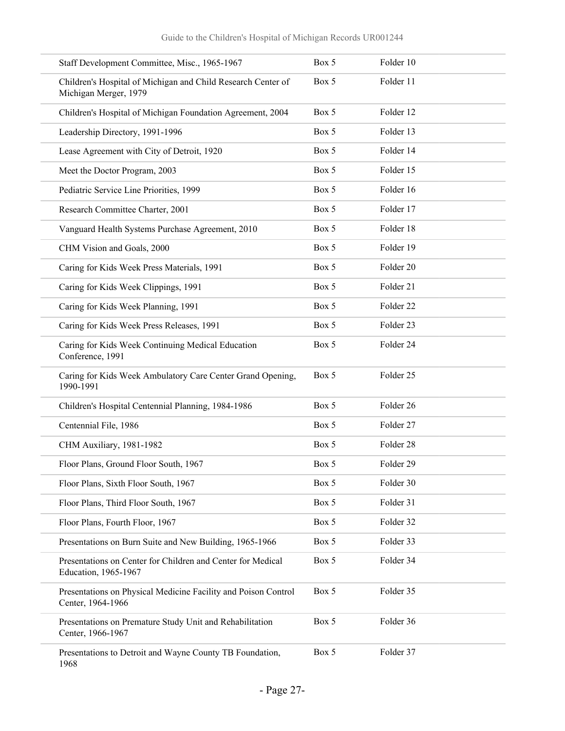| Staff Development Committee, Misc., 1965-1967                                         | Box 5 | Folder 10            |  |
|---------------------------------------------------------------------------------------|-------|----------------------|--|
| Children's Hospital of Michigan and Child Research Center of<br>Michigan Merger, 1979 | Box 5 | Folder 11            |  |
| Children's Hospital of Michigan Foundation Agreement, 2004                            | Box 5 | Folder 12            |  |
| Leadership Directory, 1991-1996                                                       | Box 5 | Folder 13            |  |
| Lease Agreement with City of Detroit, 1920                                            | Box 5 | Folder 14            |  |
| Meet the Doctor Program, 2003                                                         | Box 5 | Folder 15            |  |
| Pediatric Service Line Priorities, 1999                                               | Box 5 | Folder 16            |  |
| Research Committee Charter, 2001                                                      | Box 5 | Folder 17            |  |
| Vanguard Health Systems Purchase Agreement, 2010                                      | Box 5 | Folder 18            |  |
| CHM Vision and Goals, 2000                                                            | Box 5 | Folder 19            |  |
| Caring for Kids Week Press Materials, 1991                                            | Box 5 | Folder 20            |  |
| Caring for Kids Week Clippings, 1991                                                  | Box 5 | Folder 21            |  |
| Caring for Kids Week Planning, 1991                                                   | Box 5 | Folder 22            |  |
| Caring for Kids Week Press Releases, 1991                                             | Box 5 | Folder <sub>23</sub> |  |
| Caring for Kids Week Continuing Medical Education<br>Conference, 1991                 | Box 5 | Folder 24            |  |
| Caring for Kids Week Ambulatory Care Center Grand Opening,<br>1990-1991               | Box 5 | Folder 25            |  |
| Children's Hospital Centennial Planning, 1984-1986                                    | Box 5 | Folder 26            |  |
| Centennial File, 1986                                                                 | Box 5 | Folder 27            |  |
| CHM Auxiliary, 1981-1982                                                              | Box 5 | Folder 28            |  |
| Floor Plans, Ground Floor South, 1967                                                 | Box 5 | Folder 29            |  |
| Floor Plans, Sixth Floor South, 1967                                                  | Box 5 | Folder 30            |  |
| Floor Plans, Third Floor South, 1967                                                  | Box 5 | Folder 31            |  |
| Floor Plans, Fourth Floor, 1967                                                       | Box 5 | Folder 32            |  |
| Presentations on Burn Suite and New Building, 1965-1966                               | Box 5 | Folder 33            |  |
| Presentations on Center for Children and Center for Medical<br>Education, 1965-1967   | Box 5 | Folder 34            |  |
| Presentations on Physical Medicine Facility and Poison Control<br>Center, 1964-1966   | Box 5 | Folder 35            |  |
| Presentations on Premature Study Unit and Rehabilitation<br>Center, 1966-1967         | Box 5 | Folder 36            |  |
| Presentations to Detroit and Wayne County TB Foundation,<br>1968                      | Box 5 | Folder 37            |  |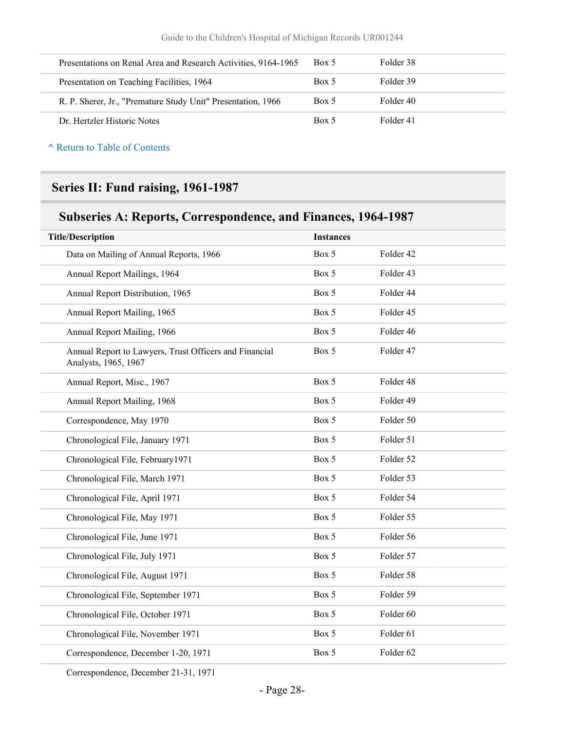| Presentations on Renal Area and Research Activities, 9164-1965 | Box 5 | Folder 38 |
|----------------------------------------------------------------|-------|-----------|
| Presentation on Teaching Facilities, 1964                      | Box 5 | Folder 39 |
| R. P. Sherer, Jr., "Premature Study Unit" Presentation, 1966   | Box 5 | Folder 40 |
| Dr. Hertzler Historic Notes                                    | Box 5 | Folder 41 |

## **Series II: Fund raising, 1961-1987**

## **Subseries A: Reports, Correspondence, and Finances, 1964-1987**

| <b>Title/Description</b>                                                       | <b>Instances</b> |           |
|--------------------------------------------------------------------------------|------------------|-----------|
| Data on Mailing of Annual Reports, 1966                                        | Box 5            | Folder 42 |
| Annual Report Mailings, 1964                                                   | Box 5            | Folder 43 |
| Annual Report Distribution, 1965                                               | Box 5            | Folder 44 |
| Annual Report Mailing, 1965                                                    | Box 5            | Folder 45 |
| Annual Report Mailing, 1966                                                    | Box 5            | Folder 46 |
| Annual Report to Lawyers, Trust Officers and Financial<br>Analysts, 1965, 1967 | Box 5            | Folder 47 |
| Annual Report, Misc., 1967                                                     | Box 5            | Folder 48 |
| Annual Report Mailing, 1968                                                    | Box 5            | Folder 49 |
| Correspondence, May 1970                                                       | Box 5            | Folder 50 |
| Chronological File, January 1971                                               | Box 5            | Folder 51 |
| Chronological File, February1971                                               | Box 5            | Folder 52 |
| Chronological File, March 1971                                                 | Box 5            | Folder 53 |
| Chronological File, April 1971                                                 | Box 5            | Folder 54 |
| Chronological File, May 1971                                                   | Box 5            | Folder 55 |
| Chronological File, June 1971                                                  | Box 5            | Folder 56 |
| Chronological File, July 1971                                                  | Box 5            | Folder 57 |
| Chronological File, August 1971                                                | Box 5            | Folder 58 |
| Chronological File, September 1971                                             | Box 5            | Folder 59 |
| Chronological File, October 1971                                               | Box 5            | Folder 60 |
| Chronological File, November 1971                                              | Box 5            | Folder 61 |
| Correspondence, December 1-20, 1971                                            | Box 5            | Folder 62 |
|                                                                                |                  |           |

Correspondence, December 21-31, 1971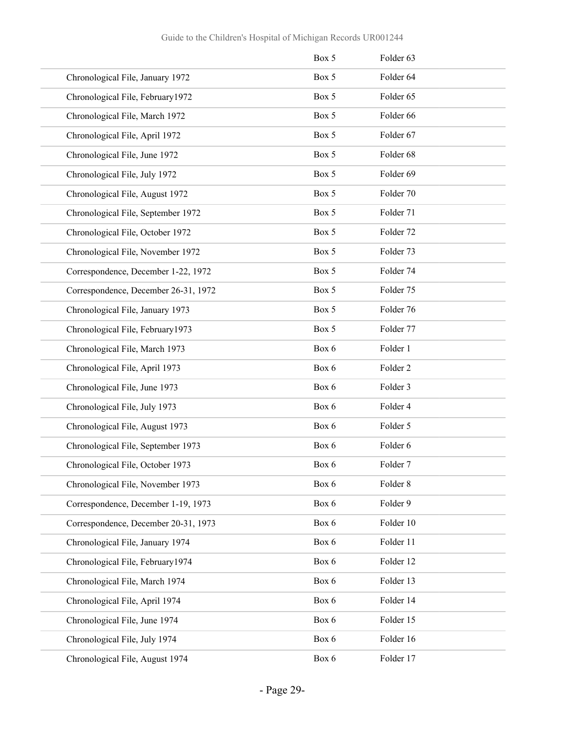|                                      | Box 5 | Folder 63           |
|--------------------------------------|-------|---------------------|
| Chronological File, January 1972     | Box 5 | Folder 64           |
| Chronological File, February 1972    | Box 5 | Folder 65           |
| Chronological File, March 1972       | Box 5 | Folder 66           |
| Chronological File, April 1972       | Box 5 | Folder 67           |
| Chronological File, June 1972        | Box 5 | Folder 68           |
| Chronological File, July 1972        | Box 5 | Folder 69           |
| Chronological File, August 1972      | Box 5 | Folder 70           |
| Chronological File, September 1972   | Box 5 | Folder 71           |
| Chronological File, October 1972     | Box 5 | Folder 72           |
| Chronological File, November 1972    | Box 5 | Folder 73           |
| Correspondence, December 1-22, 1972  | Box 5 | Folder 74           |
| Correspondence, December 26-31, 1972 | Box 5 | Folder 75           |
| Chronological File, January 1973     | Box 5 | Folder 76           |
| Chronological File, February1973     | Box 5 | Folder 77           |
| Chronological File, March 1973       | Box 6 | Folder 1            |
| Chronological File, April 1973       | Box 6 | Folder <sub>2</sub> |
| Chronological File, June 1973        | Box 6 | Folder 3            |
| Chronological File, July 1973        | Box 6 | Folder 4            |
| Chronological File, August 1973      | Box 6 | Folder 5            |
| Chronological File, September 1973   | Box 6 | Folder 6            |
| Chronological File, October 1973     | Box 6 | Folder 7            |
| Chronological File, November 1973    | Box 6 | Folder 8            |
| Correspondence, December 1-19, 1973  | Box 6 | Folder 9            |
| Correspondence, December 20-31, 1973 | Box 6 | Folder 10           |
| Chronological File, January 1974     | Box 6 | Folder 11           |
| Chronological File, February1974     | Box 6 | Folder 12           |
| Chronological File, March 1974       | Box 6 | Folder 13           |
| Chronological File, April 1974       | Box 6 | Folder 14           |
| Chronological File, June 1974        | Box 6 | Folder 15           |
| Chronological File, July 1974        | Box 6 | Folder 16           |
| Chronological File, August 1974      | Box 6 | Folder 17           |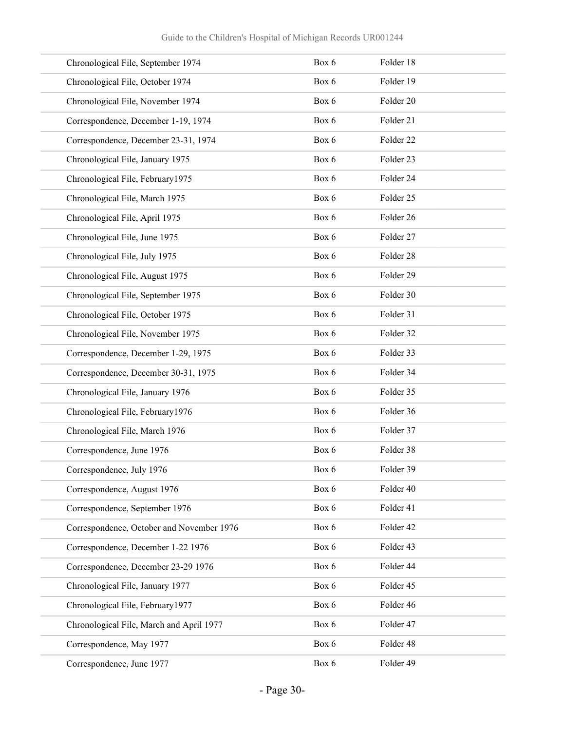| Chronological File, September 1974        | Box 6 | Folder 18 |
|-------------------------------------------|-------|-----------|
| Chronological File, October 1974          | Box 6 | Folder 19 |
| Chronological File, November 1974         | Box 6 | Folder 20 |
| Correspondence, December 1-19, 1974       | Box 6 | Folder 21 |
| Correspondence, December 23-31, 1974      | Box 6 | Folder 22 |
| Chronological File, January 1975          | Box 6 | Folder 23 |
| Chronological File, February1975          | Box 6 | Folder 24 |
| Chronological File, March 1975            | Box 6 | Folder 25 |
| Chronological File, April 1975            | Box 6 | Folder 26 |
| Chronological File, June 1975             | Box 6 | Folder 27 |
| Chronological File, July 1975             | Box 6 | Folder 28 |
| Chronological File, August 1975           | Box 6 | Folder 29 |
| Chronological File, September 1975        | Box 6 | Folder 30 |
| Chronological File, October 1975          | Box 6 | Folder 31 |
| Chronological File, November 1975         | Box 6 | Folder 32 |
| Correspondence, December 1-29, 1975       | Box 6 | Folder 33 |
| Correspondence, December 30-31, 1975      | Box 6 | Folder 34 |
| Chronological File, January 1976          | Box 6 | Folder 35 |
| Chronological File, February1976          | Box 6 | Folder 36 |
| Chronological File, March 1976            | Box 6 | Folder 37 |
| Correspondence, June 1976                 | Box 6 | Folder 38 |
| Correspondence, July 1976                 | Box 6 | Folder 39 |
| Correspondence, August 1976               | Box 6 | Folder 40 |
| Correspondence, September 1976            | Box 6 | Folder 41 |
| Correspondence, October and November 1976 | Box 6 | Folder 42 |
| Correspondence, December 1-22 1976        | Box 6 | Folder 43 |
| Correspondence, December 23-29 1976       | Box 6 | Folder 44 |
| Chronological File, January 1977          | Box 6 | Folder 45 |
| Chronological File, February1977          | Box 6 | Folder 46 |
| Chronological File, March and April 1977  | Box 6 | Folder 47 |
| Correspondence, May 1977                  | Box 6 | Folder 48 |
| Correspondence, June 1977                 | Box 6 | Folder 49 |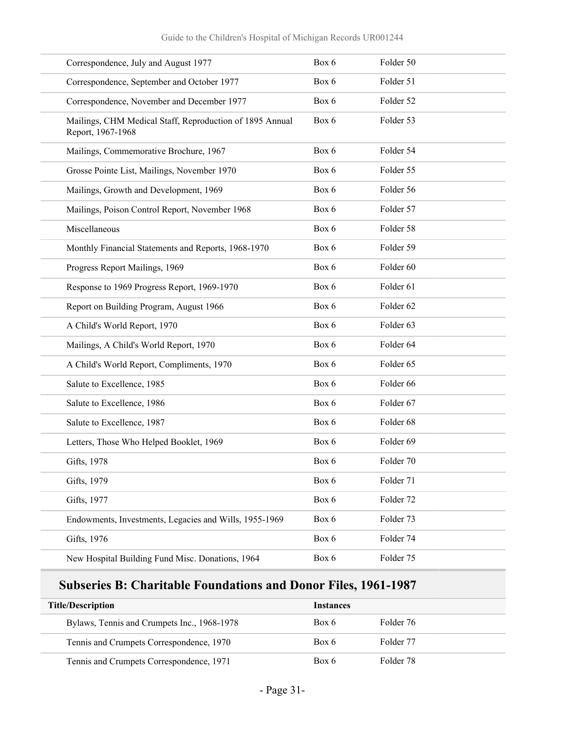| Correspondence, July and August 1977                                          | Box 6 | Folder 50            |
|-------------------------------------------------------------------------------|-------|----------------------|
| Correspondence, September and October 1977                                    | Box 6 | Folder 51            |
| Correspondence, November and December 1977                                    | Box 6 | Folder 52            |
| Mailings, CHM Medical Staff, Reproduction of 1895 Annual<br>Report, 1967-1968 | Box 6 | Folder 53            |
| Mailings, Commemorative Brochure, 1967                                        | Box 6 | Folder 54            |
| Grosse Pointe List, Mailings, November 1970                                   | Box 6 | Folder 55            |
| Mailings, Growth and Development, 1969                                        | Box 6 | Folder 56            |
| Mailings, Poison Control Report, November 1968                                | Box 6 | Folder 57            |
| Miscellaneous                                                                 | Box 6 | Folder 58            |
| Monthly Financial Statements and Reports, 1968-1970                           | Box 6 | Folder 59            |
| Progress Report Mailings, 1969                                                | Box 6 | Folder 60            |
| Response to 1969 Progress Report, 1969-1970                                   | Box 6 | Folder 61            |
| Report on Building Program, August 1966                                       | Box 6 | Folder 62            |
| A Child's World Report, 1970                                                  | Box 6 | Folder 63            |
| Mailings, A Child's World Report, 1970                                        | Box 6 | Folder <sub>64</sub> |
| A Child's World Report, Compliments, 1970                                     | Box 6 | Folder 65            |
| Salute to Excellence, 1985                                                    | Box 6 | Folder 66            |
| Salute to Excellence, 1986                                                    | Box 6 | Folder 67            |
| Salute to Excellence, 1987                                                    | Box 6 | Folder 68            |
| Letters, Those Who Helped Booklet, 1969                                       | Box 6 | Folder 69            |
| Gifts, 1978                                                                   | Box 6 | Folder 70            |
| Gifts, 1979                                                                   | Box 6 | Folder 71            |
| Gifts, 1977                                                                   | Box 6 | Folder 72            |
| Endowments, Investments, Legacies and Wills, 1955-1969                        | Box 6 | Folder 73            |
| Gifts, 1976                                                                   | Box 6 | Folder 74            |
| New Hospital Building Fund Misc. Donations, 1964                              | Box 6 | Folder 75            |
|                                                                               |       |                      |

## **Subseries B: Charitable Foundations and Donor Files, 1961-1987**

| <b>Title/Description</b>                    | Instances |           |  |
|---------------------------------------------|-----------|-----------|--|
| Bylaws, Tennis and Crumpets Inc., 1968-1978 | Box 6     | Folder 76 |  |
| Tennis and Crumpets Correspondence, 1970    | Box 6     | Folder 77 |  |
| Tennis and Crumpets Correspondence, 1971    | Box 6     | Folder 78 |  |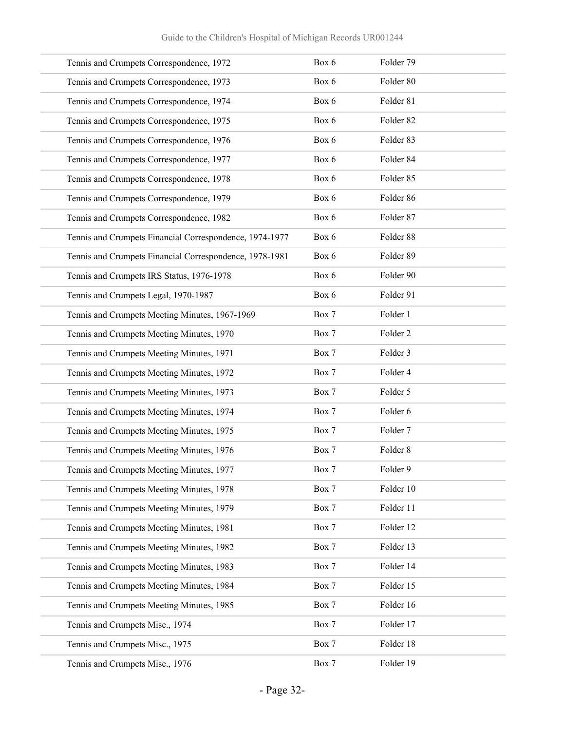| Tennis and Crumpets Correspondence, 1972                | Box 6 | Folder 79           |
|---------------------------------------------------------|-------|---------------------|
| Tennis and Crumpets Correspondence, 1973                | Box 6 | Folder 80           |
| Tennis and Crumpets Correspondence, 1974                | Box 6 | Folder 81           |
| Tennis and Crumpets Correspondence, 1975                | Box 6 | Folder 82           |
| Tennis and Crumpets Correspondence, 1976                | Box 6 | Folder 83           |
| Tennis and Crumpets Correspondence, 1977                | Box 6 | Folder 84           |
| Tennis and Crumpets Correspondence, 1978                | Box 6 | Folder 85           |
| Tennis and Crumpets Correspondence, 1979                | Box 6 | Folder 86           |
| Tennis and Crumpets Correspondence, 1982                | Box 6 | Folder 87           |
| Tennis and Crumpets Financial Correspondence, 1974-1977 | Box 6 | Folder 88           |
| Tennis and Crumpets Financial Correspondence, 1978-1981 | Box 6 | Folder 89           |
| Tennis and Crumpets IRS Status, 1976-1978               | Box 6 | Folder 90           |
| Tennis and Crumpets Legal, 1970-1987                    | Box 6 | Folder 91           |
| Tennis and Crumpets Meeting Minutes, 1967-1969          | Box 7 | Folder 1            |
| Tennis and Crumpets Meeting Minutes, 1970               | Box 7 | Folder <sub>2</sub> |
| Tennis and Crumpets Meeting Minutes, 1971               | Box 7 | Folder 3            |
| Tennis and Crumpets Meeting Minutes, 1972               | Box 7 | Folder 4            |
| Tennis and Crumpets Meeting Minutes, 1973               | Box 7 | Folder 5            |
| Tennis and Crumpets Meeting Minutes, 1974               | Box 7 | Folder 6            |
| Tennis and Crumpets Meeting Minutes, 1975               | Box 7 | Folder 7            |
| Tennis and Crumpets Meeting Minutes, 1976               | Box 7 | Folder 8            |
| Tennis and Crumpets Meeting Minutes, 1977               | Box 7 | Folder 9            |
| Tennis and Crumpets Meeting Minutes, 1978               | Box 7 | Folder 10           |
| Tennis and Crumpets Meeting Minutes, 1979               | Box 7 | Folder 11           |
| Tennis and Crumpets Meeting Minutes, 1981               | Box 7 | Folder 12           |
| Tennis and Crumpets Meeting Minutes, 1982               | Box 7 | Folder 13           |
| Tennis and Crumpets Meeting Minutes, 1983               | Box 7 | Folder 14           |
| Tennis and Crumpets Meeting Minutes, 1984               | Box 7 | Folder 15           |
| Tennis and Crumpets Meeting Minutes, 1985               | Box 7 | Folder 16           |
| Tennis and Crumpets Misc., 1974                         | Box 7 | Folder 17           |
| Tennis and Crumpets Misc., 1975                         | Box 7 | Folder 18           |
| Tennis and Crumpets Misc., 1976                         | Box 7 | Folder 19           |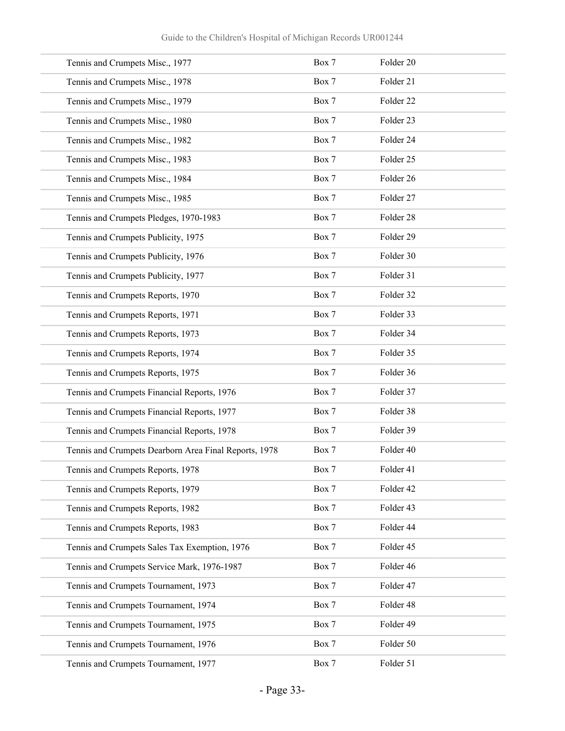| Tennis and Crumpets Misc., 1977                       | Box 7 | Folder 20 |
|-------------------------------------------------------|-------|-----------|
| Tennis and Crumpets Misc., 1978                       | Box 7 | Folder 21 |
| Tennis and Crumpets Misc., 1979                       | Box 7 | Folder 22 |
| Tennis and Crumpets Misc., 1980                       | Box 7 | Folder 23 |
| Tennis and Crumpets Misc., 1982                       | Box 7 | Folder 24 |
| Tennis and Crumpets Misc., 1983                       | Box 7 | Folder 25 |
| Tennis and Crumpets Misc., 1984                       | Box 7 | Folder 26 |
| Tennis and Crumpets Misc., 1985                       | Box 7 | Folder 27 |
| Tennis and Crumpets Pledges, 1970-1983                | Box 7 | Folder 28 |
| Tennis and Crumpets Publicity, 1975                   | Box 7 | Folder 29 |
| Tennis and Crumpets Publicity, 1976                   | Box 7 | Folder 30 |
| Tennis and Crumpets Publicity, 1977                   | Box 7 | Folder 31 |
| Tennis and Crumpets Reports, 1970                     | Box 7 | Folder 32 |
| Tennis and Crumpets Reports, 1971                     | Box 7 | Folder 33 |
| Tennis and Crumpets Reports, 1973                     | Box 7 | Folder 34 |
| Tennis and Crumpets Reports, 1974                     | Box 7 | Folder 35 |
| Tennis and Crumpets Reports, 1975                     | Box 7 | Folder 36 |
| Tennis and Crumpets Financial Reports, 1976           | Box 7 | Folder 37 |
| Tennis and Crumpets Financial Reports, 1977           | Box 7 | Folder 38 |
| Tennis and Crumpets Financial Reports, 1978           | Box 7 | Folder 39 |
| Tennis and Crumpets Dearborn Area Final Reports, 1978 | Box 7 | Folder 40 |
| Tennis and Crumpets Reports, 1978                     | Box 7 | Folder 41 |
| Tennis and Crumpets Reports, 1979                     | Box 7 | Folder 42 |
| Tennis and Crumpets Reports, 1982                     | Box 7 | Folder 43 |
| Tennis and Crumpets Reports, 1983                     | Box 7 | Folder 44 |
| Tennis and Crumpets Sales Tax Exemption, 1976         | Box 7 | Folder 45 |
| Tennis and Crumpets Service Mark, 1976-1987           | Box 7 | Folder 46 |
| Tennis and Crumpets Tournament, 1973                  | Box 7 | Folder 47 |
| Tennis and Crumpets Tournament, 1974                  | Box 7 | Folder 48 |
| Tennis and Crumpets Tournament, 1975                  | Box 7 | Folder 49 |
| Tennis and Crumpets Tournament, 1976                  | Box 7 | Folder 50 |
| Tennis and Crumpets Tournament, 1977                  | Box 7 | Folder 51 |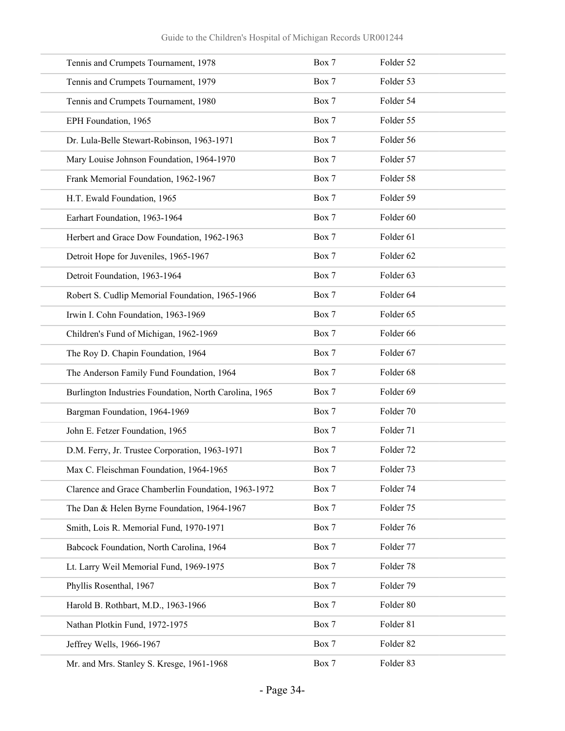| Tennis and Crumpets Tournament, 1978                   | Box 7 | Folder 52 |  |
|--------------------------------------------------------|-------|-----------|--|
| Tennis and Crumpets Tournament, 1979                   | Box 7 | Folder 53 |  |
| Tennis and Crumpets Tournament, 1980                   | Box 7 | Folder 54 |  |
| EPH Foundation, 1965                                   | Box 7 | Folder 55 |  |
| Dr. Lula-Belle Stewart-Robinson, 1963-1971             | Box 7 | Folder 56 |  |
| Mary Louise Johnson Foundation, 1964-1970              | Box 7 | Folder 57 |  |
| Frank Memorial Foundation, 1962-1967                   | Box 7 | Folder 58 |  |
| H.T. Ewald Foundation, 1965                            | Box 7 | Folder 59 |  |
| Earhart Foundation, 1963-1964                          | Box 7 | Folder 60 |  |
| Herbert and Grace Dow Foundation, 1962-1963            | Box 7 | Folder 61 |  |
| Detroit Hope for Juveniles, 1965-1967                  | Box 7 | Folder 62 |  |
| Detroit Foundation, 1963-1964                          | Box 7 | Folder 63 |  |
| Robert S. Cudlip Memorial Foundation, 1965-1966        | Box 7 | Folder 64 |  |
| Irwin I. Cohn Foundation, 1963-1969                    | Box 7 | Folder 65 |  |
| Children's Fund of Michigan, 1962-1969                 | Box 7 | Folder 66 |  |
| The Roy D. Chapin Foundation, 1964                     | Box 7 | Folder 67 |  |
| The Anderson Family Fund Foundation, 1964              | Box 7 | Folder 68 |  |
| Burlington Industries Foundation, North Carolina, 1965 | Box 7 | Folder 69 |  |
| Bargman Foundation, 1964-1969                          | Box 7 | Folder 70 |  |
| John E. Fetzer Foundation, 1965                        | Box 7 | Folder 71 |  |
| D.M. Ferry, Jr. Trustee Corporation, 1963-1971         | Box 7 | Folder 72 |  |
| Max C. Fleischman Foundation, 1964-1965                | Box 7 | Folder 73 |  |
| Clarence and Grace Chamberlin Foundation, 1963-1972    | Box 7 | Folder 74 |  |
| The Dan & Helen Byrne Foundation, 1964-1967            | Box 7 | Folder 75 |  |
| Smith, Lois R. Memorial Fund, 1970-1971                | Box 7 | Folder 76 |  |
| Babcock Foundation, North Carolina, 1964               | Box 7 | Folder 77 |  |
| Lt. Larry Weil Memorial Fund, 1969-1975                | Box 7 | Folder 78 |  |
| Phyllis Rosenthal, 1967                                | Box 7 | Folder 79 |  |
| Harold B. Rothbart, M.D., 1963-1966                    | Box 7 | Folder 80 |  |
| Nathan Plotkin Fund, 1972-1975                         | Box 7 | Folder 81 |  |
| Jeffrey Wells, 1966-1967                               | Box 7 | Folder 82 |  |
| Mr. and Mrs. Stanley S. Kresge, 1961-1968              | Box 7 | Folder 83 |  |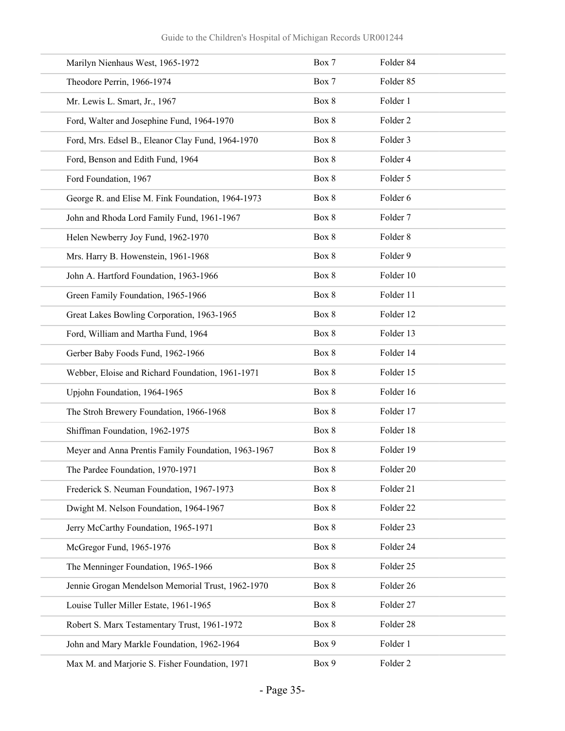| Marilyn Nienhaus West, 1965-1972                    | Box 7 | Folder 84           |
|-----------------------------------------------------|-------|---------------------|
| Theodore Perrin, 1966-1974                          | Box 7 | Folder 85           |
| Mr. Lewis L. Smart, Jr., 1967                       | Box 8 | Folder 1            |
| Ford, Walter and Josephine Fund, 1964-1970          | Box 8 | Folder <sub>2</sub> |
| Ford, Mrs. Edsel B., Eleanor Clay Fund, 1964-1970   | Box 8 | Folder 3            |
| Ford, Benson and Edith Fund, 1964                   | Box 8 | Folder 4            |
| Ford Foundation, 1967                               | Box 8 | Folder 5            |
| George R. and Elise M. Fink Foundation, 1964-1973   | Box 8 | Folder 6            |
| John and Rhoda Lord Family Fund, 1961-1967          | Box 8 | Folder 7            |
| Helen Newberry Joy Fund, 1962-1970                  | Box 8 | Folder <sub>8</sub> |
| Mrs. Harry B. Howenstein, 1961-1968                 | Box 8 | Folder 9            |
| John A. Hartford Foundation, 1963-1966              | Box 8 | Folder 10           |
| Green Family Foundation, 1965-1966                  | Box 8 | Folder 11           |
| Great Lakes Bowling Corporation, 1963-1965          | Box 8 | Folder 12           |
| Ford, William and Martha Fund, 1964                 | Box 8 | Folder 13           |
| Gerber Baby Foods Fund, 1962-1966                   | Box 8 | Folder 14           |
| Webber, Eloise and Richard Foundation, 1961-1971    | Box 8 | Folder 15           |
| Upjohn Foundation, 1964-1965                        | Box 8 | Folder 16           |
| The Stroh Brewery Foundation, 1966-1968             | Box 8 | Folder 17           |
| Shiffman Foundation, 1962-1975                      | Box 8 | Folder 18           |
| Meyer and Anna Prentis Family Foundation, 1963-1967 | Box 8 | Folder 19           |
| The Pardee Foundation, 1970-1971                    | Box 8 | Folder 20           |
| Frederick S. Neuman Foundation, 1967-1973           | Box 8 | Folder 21           |
| Dwight M. Nelson Foundation, 1964-1967              | Box 8 | Folder 22           |
| Jerry McCarthy Foundation, 1965-1971                | Box 8 | Folder 23           |
| McGregor Fund, 1965-1976                            | Box 8 | Folder 24           |
| The Menninger Foundation, 1965-1966                 | Box 8 | Folder 25           |
| Jennie Grogan Mendelson Memorial Trust, 1962-1970   | Box 8 | Folder 26           |
| Louise Tuller Miller Estate, 1961-1965              | Box 8 | Folder 27           |
| Robert S. Marx Testamentary Trust, 1961-1972        | Box 8 | Folder 28           |
| John and Mary Markle Foundation, 1962-1964          | Box 9 | Folder 1            |
| Max M. and Marjorie S. Fisher Foundation, 1971      | Box 9 | Folder 2            |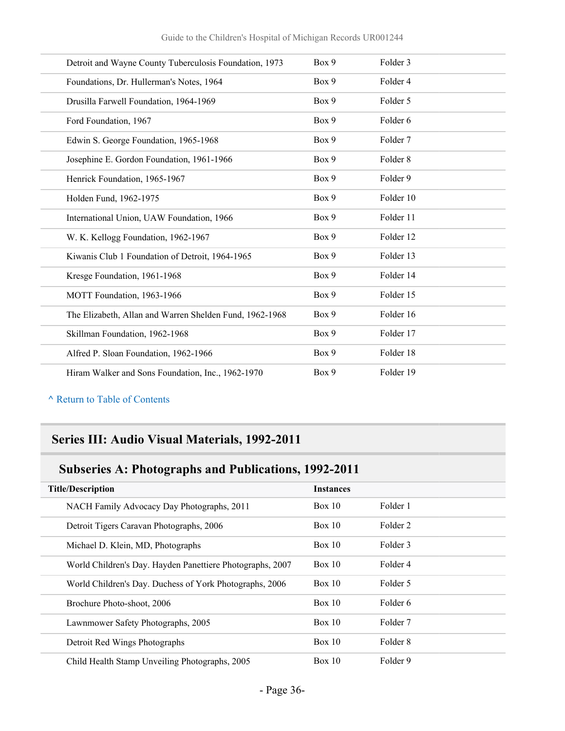| Detroit and Wayne County Tuberculosis Foundation, 1973  | Box 9 | Folder 3            |
|---------------------------------------------------------|-------|---------------------|
| Foundations, Dr. Hullerman's Notes, 1964                | Box 9 | Folder 4            |
| Drusilla Farwell Foundation, 1964-1969                  | Box 9 | Folder 5            |
| Ford Foundation, 1967                                   | Box 9 | Folder 6            |
| Edwin S. George Foundation, 1965-1968                   | Box 9 | Folder <sub>7</sub> |
| Josephine E. Gordon Foundation, 1961-1966               | Box 9 | Folder <sub>8</sub> |
| Henrick Foundation, 1965-1967                           | Box 9 | Folder 9            |
| Holden Fund, 1962-1975                                  | Box 9 | Folder 10           |
| International Union, UAW Foundation, 1966               | Box 9 | Folder 11           |
| W. K. Kellogg Foundation, 1962-1967                     | Box 9 | Folder 12           |
| Kiwanis Club 1 Foundation of Detroit, 1964-1965         | Box 9 | Folder 13           |
| Kresge Foundation, 1961-1968                            | Box 9 | Folder 14           |
| MOTT Foundation, 1963-1966                              | Box 9 | Folder 15           |
| The Elizabeth, Allan and Warren Shelden Fund, 1962-1968 | Box 9 | Folder 16           |
| Skillman Foundation, 1962-1968                          | Box 9 | Folder 17           |
| Alfred P. Sloan Foundation, 1962-1966                   | Box 9 | Folder 18           |
| Hiram Walker and Sons Foundation, Inc., 1962-1970       | Box 9 | Folder 19           |

## **Series III: Audio Visual Materials, 1992-2011**

## **Subseries A: Photographs and Publications, 1992-2011**

| <b>Title/Description</b>                                  | <b>Instances</b> |                     |
|-----------------------------------------------------------|------------------|---------------------|
| NACH Family Advocacy Day Photographs, 2011                | Box 10           | Folder 1            |
| Detroit Tigers Caravan Photographs, 2006                  | Box 10           | Folder 2            |
| Michael D. Klein, MD, Photographs                         | Box 10           | Folder 3            |
| World Children's Day. Hayden Panettiere Photographs, 2007 | Box 10           | Folder 4            |
| World Children's Day. Duchess of York Photographs, 2006   | Box 10           | Folder 5            |
| Brochure Photo-shoot, 2006                                | Box 10           | Folder 6            |
| Lawnmower Safety Photographs, 2005                        | Box 10           | Folder <sub>7</sub> |
| Detroit Red Wings Photographs                             | Box 10           | Folder 8            |
| Child Health Stamp Unveiling Photographs, 2005            | Box 10           | Folder 9            |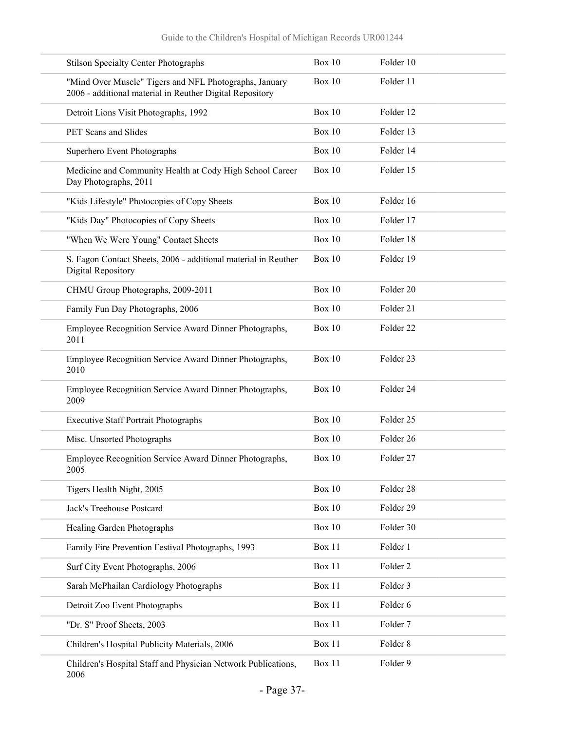| <b>Stilson Specialty Center Photographs</b>                                                                        | <b>Box 10</b> | Folder 10           |
|--------------------------------------------------------------------------------------------------------------------|---------------|---------------------|
| "Mind Over Muscle" Tigers and NFL Photographs, January<br>2006 - additional material in Reuther Digital Repository | <b>Box 10</b> | Folder 11           |
| Detroit Lions Visit Photographs, 1992                                                                              | Box $10$      | Folder 12           |
| PET Scans and Slides                                                                                               | <b>Box 10</b> | Folder 13           |
| Superhero Event Photographs                                                                                        | Box 10        | Folder 14           |
| Medicine and Community Health at Cody High School Career<br>Day Photographs, 2011                                  | <b>Box 10</b> | Folder 15           |
| "Kids Lifestyle" Photocopies of Copy Sheets                                                                        | <b>Box 10</b> | Folder 16           |
| "Kids Day" Photocopies of Copy Sheets                                                                              | <b>Box 10</b> | Folder 17           |
| "When We Were Young" Contact Sheets                                                                                | <b>Box 10</b> | Folder 18           |
| S. Fagon Contact Sheets, 2006 - additional material in Reuther<br>Digital Repository                               | <b>Box 10</b> | Folder 19           |
| CHMU Group Photographs, 2009-2011                                                                                  | <b>Box 10</b> | Folder 20           |
| Family Fun Day Photographs, 2006                                                                                   | <b>Box 10</b> | Folder 21           |
| Employee Recognition Service Award Dinner Photographs,<br>2011                                                     | <b>Box 10</b> | Folder 22           |
| Employee Recognition Service Award Dinner Photographs,<br>2010                                                     | <b>Box 10</b> | Folder 23           |
| Employee Recognition Service Award Dinner Photographs,<br>2009                                                     | <b>Box 10</b> | Folder 24           |
| <b>Executive Staff Portrait Photographs</b>                                                                        | Box 10        | Folder 25           |
| Misc. Unsorted Photographs                                                                                         | <b>Box 10</b> | Folder 26           |
| Employee Recognition Service Award Dinner Photographs,<br>2005                                                     | Box $10$      | Folder 27           |
| Tigers Health Night, 2005                                                                                          | <b>Box 10</b> | Folder 28           |
| Jack's Treehouse Postcard                                                                                          | <b>Box 10</b> | Folder 29           |
| Healing Garden Photographs                                                                                         | <b>Box 10</b> | Folder 30           |
| Family Fire Prevention Festival Photographs, 1993                                                                  | Box 11        | Folder 1            |
| Surf City Event Photographs, 2006                                                                                  | Box 11        | Folder <sub>2</sub> |
| Sarah McPhailan Cardiology Photographs                                                                             | Box 11        | Folder 3            |
| Detroit Zoo Event Photographs                                                                                      | Box 11        | Folder 6            |
| "Dr. S" Proof Sheets, 2003                                                                                         | Box 11        | Folder 7            |
| Children's Hospital Publicity Materials, 2006                                                                      | Box 11        | Folder 8            |
| Children's Hospital Staff and Physician Network Publications,<br>2006                                              | Box 11        | Folder 9            |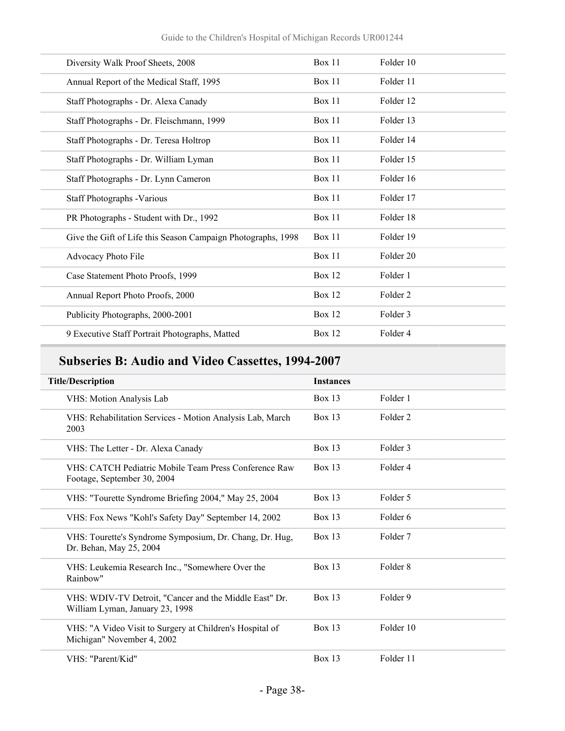| Diversity Walk Proof Sheets, 2008                            | Box 11        | Folder 10           |
|--------------------------------------------------------------|---------------|---------------------|
| Annual Report of the Medical Staff, 1995                     | <b>Box 11</b> | Folder 11           |
| Staff Photographs - Dr. Alexa Canady                         | Box 11        | Folder 12           |
| Staff Photographs - Dr. Fleischmann, 1999                    | Box 11        | Folder 13           |
| Staff Photographs - Dr. Teresa Holtrop                       | Box 11        | Folder 14           |
| Staff Photographs - Dr. William Lyman                        | Box 11        | Folder 15           |
| Staff Photographs - Dr. Lynn Cameron                         | Box 11        | Folder 16           |
| Staff Photographs - Various                                  | Box 11        | Folder 17           |
| PR Photographs - Student with Dr., 1992                      | Box 11        | Folder 18           |
| Give the Gift of Life this Season Campaign Photographs, 1998 | Box $11$      | Folder 19           |
| Advocacy Photo File                                          | Box 11        | Folder 20           |
| Case Statement Photo Proofs, 1999                            | <b>Box 12</b> | Folder 1            |
| Annual Report Photo Proofs, 2000                             | <b>Box 12</b> | Folder <sub>2</sub> |
| Publicity Photographs, 2000-2001                             | <b>Box 12</b> | Folder 3            |
| 9 Executive Staff Portrait Photographs, Matted               | <b>Box 12</b> | Folder 4            |
|                                                              |               |                     |

## **Subseries B: Audio and Video Cassettes, 1994-2007**

| <b>Title/Description</b>                                                                  | <b>Instances</b> |                     |
|-------------------------------------------------------------------------------------------|------------------|---------------------|
| VHS: Motion Analysis Lab                                                                  | $Box$ 13         | Folder 1            |
| VHS: Rehabilitation Services - Motion Analysis Lab, March<br>2003                         | $Box$ 13         | Folder <sub>2</sub> |
| VHS: The Letter - Dr. Alexa Canady                                                        | <b>Box 13</b>    | Folder 3            |
| VHS: CATCH Pediatric Mobile Team Press Conference Raw<br>Footage, September 30, 2004      | $Box$ 13         | Folder 4            |
| VHS: "Tourette Syndrome Briefing 2004," May 25, 2004                                      | <b>Box 13</b>    | Folder 5            |
| VHS: Fox News "Kohl's Safety Day" September 14, 2002                                      | Box $13$         | Folder 6            |
| VHS: Tourette's Syndrome Symposium, Dr. Chang, Dr. Hug,<br>Dr. Behan, May 25, 2004        | Box $13$         | Folder 7            |
| VHS: Leukemia Research Inc., "Somewhere Over the<br>Rainbow"                              | $Box$ 13         | Folder <sub>8</sub> |
| VHS: WDIV-TV Detroit, "Cancer and the Middle East" Dr.<br>William Lyman, January 23, 1998 | <b>Box 13</b>    | Folder <sub>9</sub> |
| VHS: "A Video Visit to Surgery at Children's Hospital of<br>Michigan" November 4, 2002    | Box $13$         | Folder 10           |
| VHS: "Parent/Kid"                                                                         | Box $13$         | Folder 11           |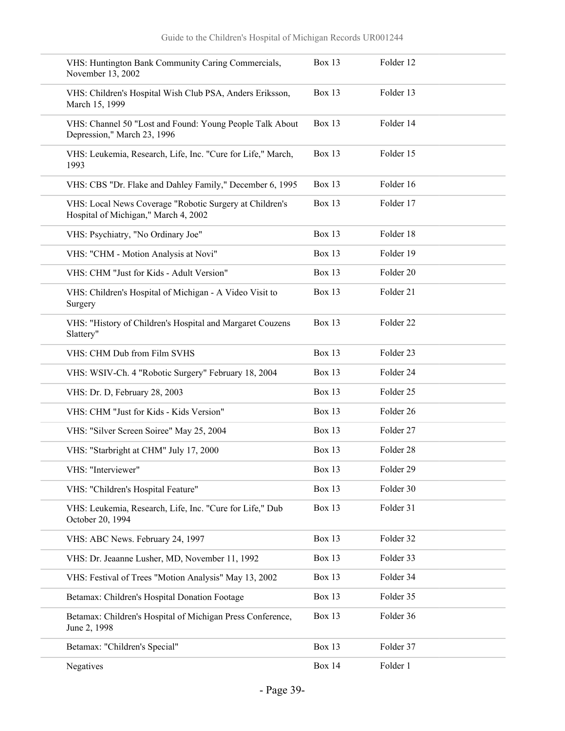| VHS: Huntington Bank Community Caring Commercials,<br>November 13, 2002                         | Box 13        | Folder 12            |
|-------------------------------------------------------------------------------------------------|---------------|----------------------|
| VHS: Children's Hospital Wish Club PSA, Anders Eriksson,<br>March 15, 1999                      | Box 13        | Folder 13            |
| VHS: Channel 50 "Lost and Found: Young People Talk About<br>Depression," March 23, 1996         | <b>Box 13</b> | Folder 14            |
| VHS: Leukemia, Research, Life, Inc. "Cure for Life," March,<br>1993                             | Box 13        | Folder 15            |
| VHS: CBS "Dr. Flake and Dahley Family," December 6, 1995                                        | Box 13        | Folder 16            |
| VHS: Local News Coverage "Robotic Surgery at Children's<br>Hospital of Michigan," March 4, 2002 | Box 13        | Folder 17            |
| VHS: Psychiatry, "No Ordinary Joe"                                                              | Box 13        | Folder 18            |
| VHS: "CHM - Motion Analysis at Novi"                                                            | Box 13        | Folder 19            |
| VHS: CHM "Just for Kids - Adult Version"                                                        | Box 13        | Folder 20            |
| VHS: Children's Hospital of Michigan - A Video Visit to<br>Surgery                              | Box 13        | Folder 21            |
| VHS: "History of Children's Hospital and Margaret Couzens<br>Slattery"                          | <b>Box 13</b> | Folder 22            |
| VHS: CHM Dub from Film SVHS                                                                     | Box 13        | Folder <sub>23</sub> |
| VHS: WSIV-Ch. 4 "Robotic Surgery" February 18, 2004                                             | Box 13        | Folder 24            |
| VHS: Dr. D, February 28, 2003                                                                   | <b>Box 13</b> | Folder <sub>25</sub> |
| VHS: CHM "Just for Kids - Kids Version"                                                         | Box 13        | Folder 26            |
| VHS: "Silver Screen Soiree" May 25, 2004                                                        | Box 13        | Folder 27            |
| VHS: "Starbright at CHM" July 17, 2000                                                          | Box 13        | Folder 28            |
| VHS: "Interviewer"                                                                              | Box 13        | Folder 29            |
| VHS: "Children's Hospital Feature"                                                              | Box 13        | Folder 30            |
| VHS: Leukemia, Research, Life, Inc. "Cure for Life," Dub<br>October 20, 1994                    | Box 13        | Folder 31            |
| VHS: ABC News. February 24, 1997                                                                | Box 13        | Folder 32            |
| VHS: Dr. Jeaanne Lusher, MD, November 11, 1992                                                  | Box 13        | Folder 33            |
| VHS: Festival of Trees "Motion Analysis" May 13, 2002                                           | Box 13        | Folder 34            |
| Betamax: Children's Hospital Donation Footage                                                   | Box 13        | Folder 35            |
| Betamax: Children's Hospital of Michigan Press Conference,<br>June 2, 1998                      | Box 13        | Folder 36            |
| Betamax: "Children's Special"                                                                   | Box 13        | Folder 37            |
| Negatives                                                                                       | <b>Box 14</b> | Folder 1             |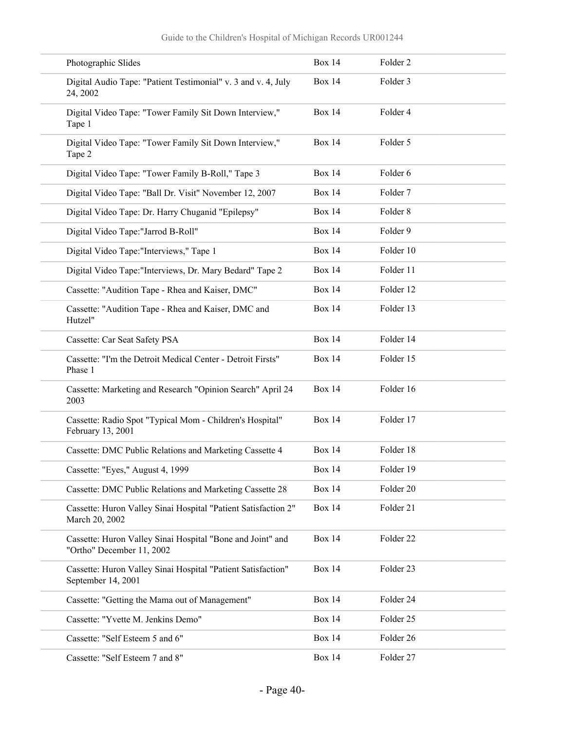| Photographic Slides                                                                     | <b>Box 14</b> | Folder <sub>2</sub> |
|-----------------------------------------------------------------------------------------|---------------|---------------------|
| Digital Audio Tape: "Patient Testimonial" v. 3 and v. 4, July<br>24, 2002               | <b>Box 14</b> | Folder 3            |
| Digital Video Tape: "Tower Family Sit Down Interview,"<br>Tape 1                        | <b>Box 14</b> | Folder 4            |
| Digital Video Tape: "Tower Family Sit Down Interview,"<br>Tape 2                        | <b>Box 14</b> | Folder 5            |
| Digital Video Tape: "Tower Family B-Roll," Tape 3                                       | <b>Box 14</b> | Folder 6            |
| Digital Video Tape: "Ball Dr. Visit" November 12, 2007                                  | <b>Box 14</b> | Folder 7            |
| Digital Video Tape: Dr. Harry Chuganid "Epilepsy"                                       | <b>Box 14</b> | Folder <sub>8</sub> |
| Digital Video Tape:"Jarrod B-Roll"                                                      | <b>Box 14</b> | Folder 9            |
| Digital Video Tape:"Interviews," Tape 1                                                 | <b>Box 14</b> | Folder 10           |
| Digital Video Tape:"Interviews, Dr. Mary Bedard" Tape 2                                 | <b>Box 14</b> | Folder 11           |
| Cassette: "Audition Tape - Rhea and Kaiser, DMC"                                        | <b>Box 14</b> | Folder 12           |
| Cassette: "Audition Tape - Rhea and Kaiser, DMC and<br>Hutzel"                          | <b>Box 14</b> | Folder 13           |
| Cassette: Car Seat Safety PSA                                                           | <b>Box 14</b> | Folder 14           |
| Cassette: "I'm the Detroit Medical Center - Detroit Firsts"<br>Phase 1                  | <b>Box 14</b> | Folder 15           |
| Cassette: Marketing and Research "Opinion Search" April 24<br>2003                      | <b>Box 14</b> | Folder 16           |
| Cassette: Radio Spot "Typical Mom - Children's Hospital"<br>February 13, 2001           | <b>Box 14</b> | Folder 17           |
| Cassette: DMC Public Relations and Marketing Cassette 4                                 | <b>Box 14</b> | Folder 18           |
| Cassette: "Eyes," August 4, 1999                                                        | <b>Box 14</b> | Folder 19           |
| Cassette: DMC Public Relations and Marketing Cassette 28                                | <b>Box 14</b> | Folder 20           |
| Cassette: Huron Valley Sinai Hospital "Patient Satisfaction 2"<br>March 20, 2002        | <b>Box 14</b> | Folder 21           |
| Cassette: Huron Valley Sinai Hospital "Bone and Joint" and<br>"Ortho" December 11, 2002 | <b>Box 14</b> | Folder 22           |
| Cassette: Huron Valley Sinai Hospital "Patient Satisfaction"<br>September 14, 2001      | <b>Box 14</b> | Folder 23           |
| Cassette: "Getting the Mama out of Management"                                          | <b>Box 14</b> | Folder 24           |
| Cassette: "Yvette M. Jenkins Demo"                                                      | <b>Box 14</b> | Folder 25           |
| Cassette: "Self Esteem 5 and 6"                                                         | <b>Box 14</b> | Folder 26           |
| Cassette: "Self Esteem 7 and 8"                                                         | <b>Box 14</b> | Folder 27           |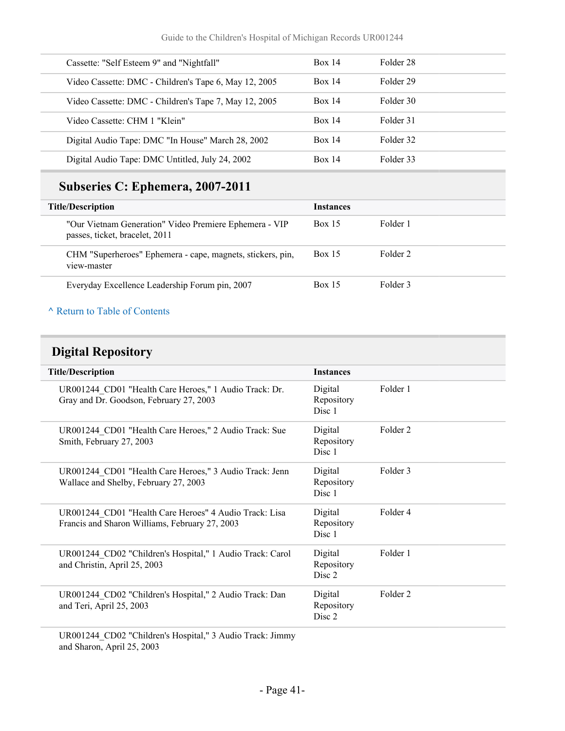| Cassette: "Self Esteem 9" and "Nightfall"             | Box 14 | Folder 28 |  |
|-------------------------------------------------------|--------|-----------|--|
| Video Cassette: DMC - Children's Tape 6, May 12, 2005 | Box 14 | Folder 29 |  |
| Video Cassette: DMC - Children's Tape 7, May 12, 2005 | Box 14 | Folder 30 |  |
| Video Cassette: CHM 1 "Klein"                         | Box 14 | Folder 31 |  |
| Digital Audio Tape: DMC "In House" March 28, 2002     | Box 14 | Folder 32 |  |
| Digital Audio Tape: DMC Untitled, July 24, 2002       | Box 14 | Folder 33 |  |

## **Subseries C: Ephemera, 2007-2011**

| <b>Title/Description</b>                                                                 | <b>Instances</b> |          |
|------------------------------------------------------------------------------------------|------------------|----------|
| "Our Vietnam Generation" Video Premiere Ephemera - VIP<br>passes, ticket, bracelet, 2011 | <b>Box 15</b>    | Folder 1 |
| CHM "Superheroes" Ephemera - cape, magnets, stickers, pin,<br>view-master                | <b>Box 15</b>    | Folder 2 |
| Everyday Excellence Leadership Forum pin, 2007                                           | <b>Box 15</b>    | Folder 3 |

### **^** [Return to Table of Contents](#page-1-0)

## **Digital Repository**

| <b>Title/Description</b>                                                                                 | <b>Instances</b>                           |                     |
|----------------------------------------------------------------------------------------------------------|--------------------------------------------|---------------------|
| UR001244 CD01 "Health Care Heroes," 1 Audio Track: Dr.<br>Gray and Dr. Goodson, February 27, 2003        | Digital<br>Repository<br>Disc 1            | Folder 1            |
| UR001244 CD01 "Health Care Heroes," 2 Audio Track: Sue<br>Smith, February 27, 2003                       | Digital<br>Repository<br>Disc 1            | Folder <sub>2</sub> |
| UR001244 CD01 "Health Care Heroes," 3 Audio Track: Jenn<br>Wallace and Shelby, February 27, 2003         | Digital<br>Repository<br>Disc 1            | Folder 3            |
| UR001244 CD01 "Health Care Heroes" 4 Audio Track: Lisa<br>Francis and Sharon Williams, February 27, 2003 | Digital<br>Repository<br>Disc <sub>1</sub> | Folder 4            |
| UR001244 CD02 "Children's Hospital," 1 Audio Track: Carol<br>and Christin, April 25, 2003                | Digital<br>Repository<br>Disc <sub>2</sub> | Folder 1            |
| UR001244 CD02 "Children's Hospital," 2 Audio Track: Dan<br>and Teri, April 25, 2003                      | Digital<br>Repository<br>Disc 2            | Folder <sub>2</sub> |

UR001244\_CD02 "Children's Hospital," 3 Audio Track: Jimmy and Sharon, April 25, 2003